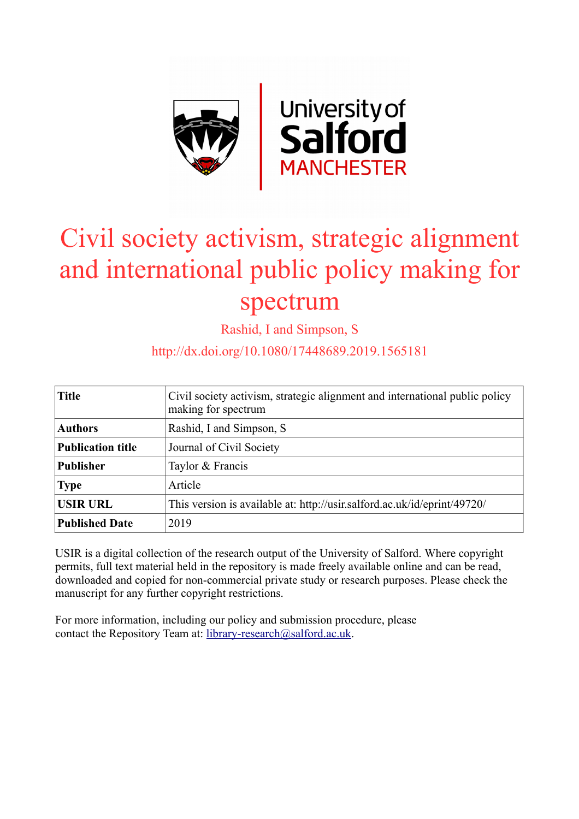

# Civil society activism, strategic alignment and international public policy making for spectrum

Rashid, I and Simpson, S

## http://dx.doi.org/10.1080/17448689.2019.1565181

| <b>Title</b>             | Civil society activism, strategic alignment and international public policy<br>making for spectrum |
|--------------------------|----------------------------------------------------------------------------------------------------|
| <b>Authors</b>           | Rashid, I and Simpson, S.                                                                          |
| <b>Publication title</b> | Journal of Civil Society                                                                           |
| <b>Publisher</b>         | Taylor & Francis                                                                                   |
| <b>Type</b>              | Article                                                                                            |
| <b>USIR URL</b>          | This version is available at: http://usir.salford.ac.uk/id/eprint/49720/                           |
| <b>Published Date</b>    | 2019                                                                                               |

USIR is a digital collection of the research output of the University of Salford. Where copyright permits, full text material held in the repository is made freely available online and can be read, downloaded and copied for non-commercial private study or research purposes. Please check the manuscript for any further copyright restrictions.

For more information, including our policy and submission procedure, please contact the Repository Team at: [library-research@salford.ac.uk.](mailto:library-research@salford.ac.uk)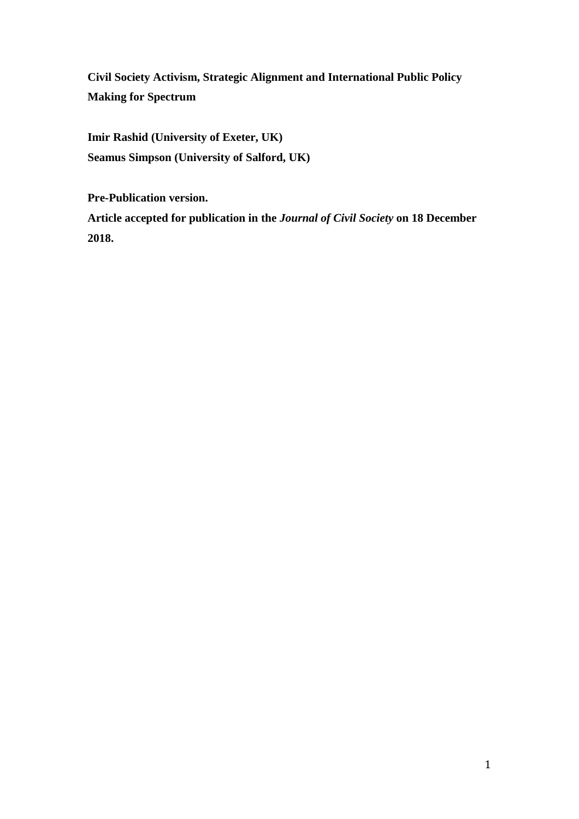**Civil Society Activism, Strategic Alignment and International Public Policy Making for Spectrum**

**Imir Rashid (University of Exeter, UK) Seamus Simpson (University of Salford, UK)**

**Pre-Publication version.**

**Article accepted for publication in the** *Journal of Civil Society* **on 18 December 2018.**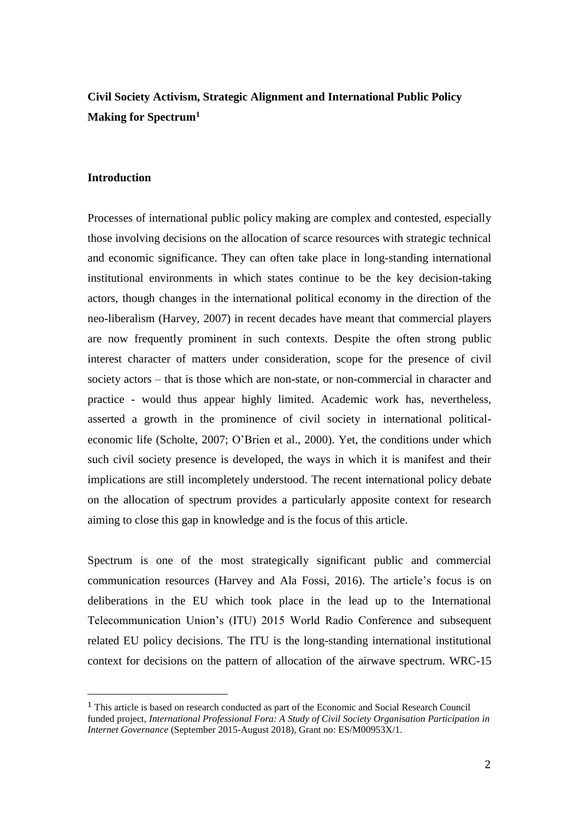## **Civil Society Activism, Strategic Alignment and International Public Policy Making for Spectrum<sup>1</sup>**

#### **Introduction**

 $\overline{a}$ 

Processes of international public policy making are complex and contested, especially those involving decisions on the allocation of scarce resources with strategic technical and economic significance. They can often take place in long-standing international institutional environments in which states continue to be the key decision-taking actors, though changes in the international political economy in the direction of the neo-liberalism (Harvey, 2007) in recent decades have meant that commercial players are now frequently prominent in such contexts. Despite the often strong public interest character of matters under consideration, scope for the presence of civil society actors – that is those which are non-state, or non-commercial in character and practice - would thus appear highly limited. Academic work has, nevertheless, asserted a growth in the prominence of civil society in international politicaleconomic life (Scholte, 2007; O'Brien et al., 2000). Yet, the conditions under which such civil society presence is developed, the ways in which it is manifest and their implications are still incompletely understood. The recent international policy debate on the allocation of spectrum provides a particularly apposite context for research aiming to close this gap in knowledge and is the focus of this article.

Spectrum is one of the most strategically significant public and commercial communication resources (Harvey and Ala Fossi, 2016). The article's focus is on deliberations in the EU which took place in the lead up to the International Telecommunication Union's (ITU) 2015 World Radio Conference and subsequent related EU policy decisions. The ITU is the long-standing international institutional context for decisions on the pattern of allocation of the airwave spectrum. WRC-15

<sup>1</sup> This article is based on research conducted as part of the Economic and Social Research Council funded project, *International Professional Fora: A Study of Civil Society Organisation Participation in Internet Governance* (September 2015-August 2018), Grant no: ES/M00953X/1.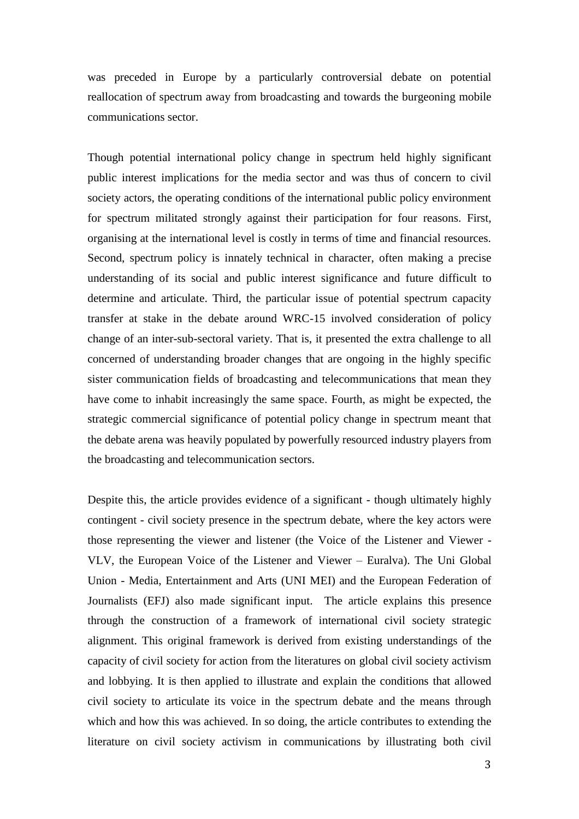was preceded in Europe by a particularly controversial debate on potential reallocation of spectrum away from broadcasting and towards the burgeoning mobile communications sector.

Though potential international policy change in spectrum held highly significant public interest implications for the media sector and was thus of concern to civil society actors, the operating conditions of the international public policy environment for spectrum militated strongly against their participation for four reasons. First, organising at the international level is costly in terms of time and financial resources. Second, spectrum policy is innately technical in character, often making a precise understanding of its social and public interest significance and future difficult to determine and articulate. Third, the particular issue of potential spectrum capacity transfer at stake in the debate around WRC-15 involved consideration of policy change of an inter-sub-sectoral variety. That is, it presented the extra challenge to all concerned of understanding broader changes that are ongoing in the highly specific sister communication fields of broadcasting and telecommunications that mean they have come to inhabit increasingly the same space. Fourth, as might be expected, the strategic commercial significance of potential policy change in spectrum meant that the debate arena was heavily populated by powerfully resourced industry players from the broadcasting and telecommunication sectors.

Despite this, the article provides evidence of a significant - though ultimately highly contingent - civil society presence in the spectrum debate, where the key actors were those representing the viewer and listener (the Voice of the Listener and Viewer - VLV, the European Voice of the Listener and Viewer – Euralva). The Uni Global Union - Media, Entertainment and Arts (UNI MEI) and the European Federation of Journalists (EFJ) also made significant input. The article explains this presence through the construction of a framework of international civil society strategic alignment. This original framework is derived from existing understandings of the capacity of civil society for action from the literatures on global civil society activism and lobbying. It is then applied to illustrate and explain the conditions that allowed civil society to articulate its voice in the spectrum debate and the means through which and how this was achieved. In so doing, the article contributes to extending the literature on civil society activism in communications by illustrating both civil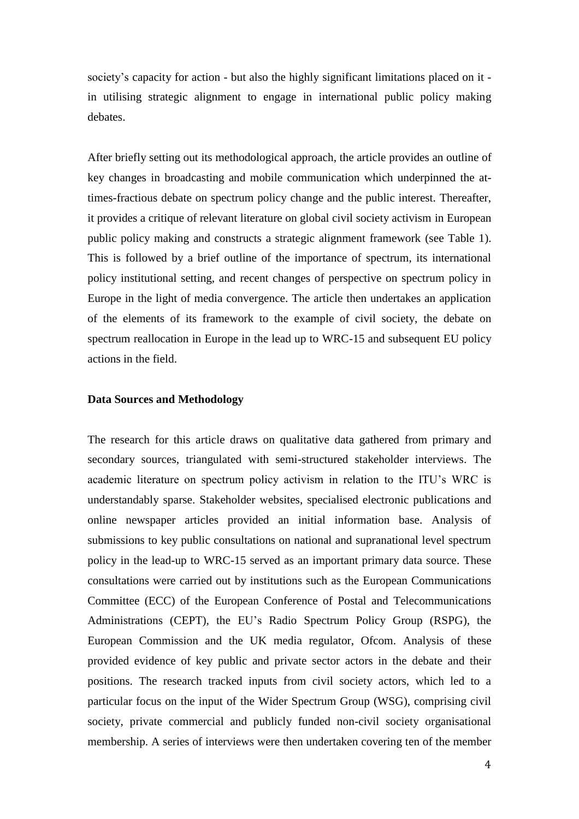society's capacity for action - but also the highly significant limitations placed on it in utilising strategic alignment to engage in international public policy making debates.

After briefly setting out its methodological approach, the article provides an outline of key changes in broadcasting and mobile communication which underpinned the attimes-fractious debate on spectrum policy change and the public interest. Thereafter, it provides a critique of relevant literature on global civil society activism in European public policy making and constructs a strategic alignment framework (see Table 1). This is followed by a brief outline of the importance of spectrum, its international policy institutional setting, and recent changes of perspective on spectrum policy in Europe in the light of media convergence. The article then undertakes an application of the elements of its framework to the example of civil society, the debate on spectrum reallocation in Europe in the lead up to WRC-15 and subsequent EU policy actions in the field.

#### **Data Sources and Methodology**

The research for this article draws on qualitative data gathered from primary and secondary sources, triangulated with semi-structured stakeholder interviews. The academic literature on spectrum policy activism in relation to the ITU's WRC is understandably sparse. Stakeholder websites, specialised electronic publications and online newspaper articles provided an initial information base. Analysis of submissions to key public consultations on national and supranational level spectrum policy in the lead-up to WRC-15 served as an important primary data source. These consultations were carried out by institutions such as the European Communications Committee (ECC) of the European Conference of Postal and Telecommunications Administrations (CEPT), the EU's Radio Spectrum Policy Group (RSPG), the European Commission and the UK media regulator, Ofcom. Analysis of these provided evidence of key public and private sector actors in the debate and their positions. The research tracked inputs from civil society actors, which led to a particular focus on the input of the Wider Spectrum Group (WSG), comprising civil society, private commercial and publicly funded non-civil society organisational membership. A series of interviews were then undertaken covering ten of the member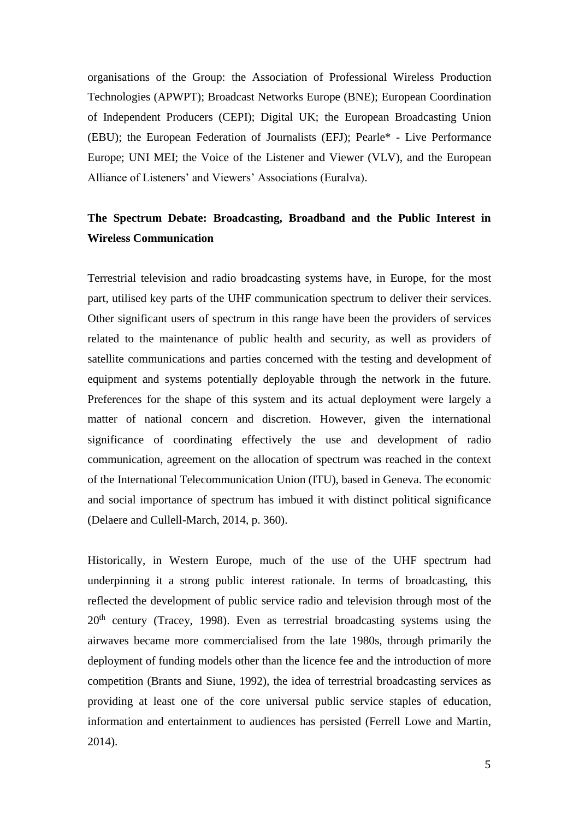organisations of the Group: the Association of Professional Wireless Production Technologies (APWPT); Broadcast Networks Europe (BNE); European Coordination of Independent Producers (CEPI); Digital UK; the European Broadcasting Union (EBU); the European Federation of Journalists (EFJ); Pearle\* - Live Performance Europe; UNI MEI; the Voice of the Listener and Viewer (VLV), and the European Alliance of Listeners' and Viewers' Associations (Euralva).

## **The Spectrum Debate: Broadcasting, Broadband and the Public Interest in Wireless Communication**

Terrestrial television and radio broadcasting systems have, in Europe, for the most part, utilised key parts of the UHF communication spectrum to deliver their services. Other significant users of spectrum in this range have been the providers of services related to the maintenance of public health and security, as well as providers of satellite communications and parties concerned with the testing and development of equipment and systems potentially deployable through the network in the future. Preferences for the shape of this system and its actual deployment were largely a matter of national concern and discretion. However, given the international significance of coordinating effectively the use and development of radio communication, agreement on the allocation of spectrum was reached in the context of the International Telecommunication Union (ITU), based in Geneva. The economic and social importance of spectrum has imbued it with distinct political significance (Delaere and Cullell-March, 2014, p. 360).

Historically, in Western Europe, much of the use of the UHF spectrum had underpinning it a strong public interest rationale. In terms of broadcasting, this reflected the development of public service radio and television through most of the  $20<sup>th</sup>$  century (Tracey, 1998). Even as terrestrial broadcasting systems using the airwaves became more commercialised from the late 1980s, through primarily the deployment of funding models other than the licence fee and the introduction of more competition (Brants and Siune, 1992), the idea of terrestrial broadcasting services as providing at least one of the core universal public service staples of education, information and entertainment to audiences has persisted (Ferrell Lowe and Martin, 2014).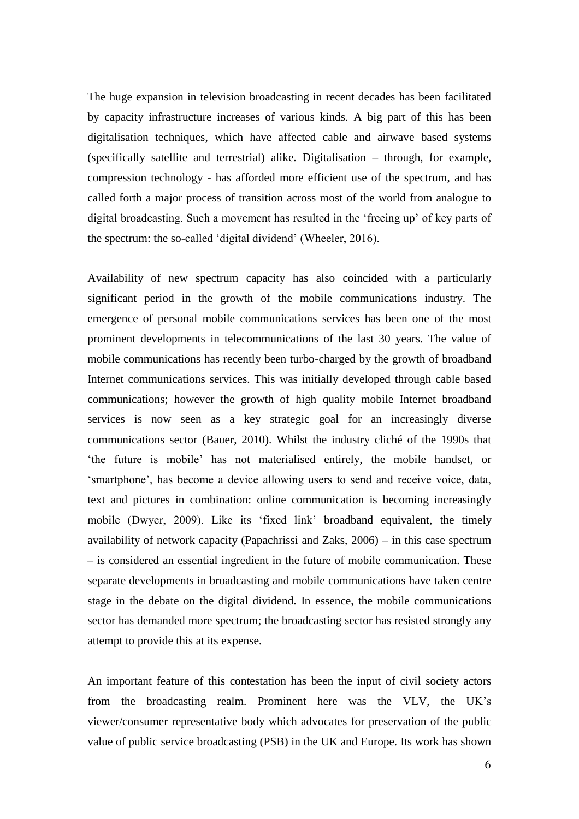The huge expansion in television broadcasting in recent decades has been facilitated by capacity infrastructure increases of various kinds. A big part of this has been digitalisation techniques, which have affected cable and airwave based systems (specifically satellite and terrestrial) alike. Digitalisation – through, for example, compression technology - has afforded more efficient use of the spectrum, and has called forth a major process of transition across most of the world from analogue to digital broadcasting. Such a movement has resulted in the 'freeing up' of key parts of the spectrum: the so-called 'digital dividend' (Wheeler, 2016).

Availability of new spectrum capacity has also coincided with a particularly significant period in the growth of the mobile communications industry. The emergence of personal mobile communications services has been one of the most prominent developments in telecommunications of the last 30 years. The value of mobile communications has recently been turbo-charged by the growth of broadband Internet communications services. This was initially developed through cable based communications; however the growth of high quality mobile Internet broadband services is now seen as a key strategic goal for an increasingly diverse communications sector (Bauer, 2010). Whilst the industry cliché of the 1990s that 'the future is mobile' has not materialised entirely, the mobile handset, or 'smartphone', has become a device allowing users to send and receive voice, data, text and pictures in combination: online communication is becoming increasingly mobile (Dwyer, 2009). Like its 'fixed link' broadband equivalent, the timely availability of network capacity (Papachrissi and Zaks, 2006) – in this case spectrum – is considered an essential ingredient in the future of mobile communication. These separate developments in broadcasting and mobile communications have taken centre stage in the debate on the digital dividend. In essence, the mobile communications sector has demanded more spectrum; the broadcasting sector has resisted strongly any attempt to provide this at its expense.

An important feature of this contestation has been the input of civil society actors from the broadcasting realm. Prominent here was the VLV, the UK's viewer/consumer representative body which advocates for preservation of the public value of public service broadcasting (PSB) in the UK and Europe. Its work has shown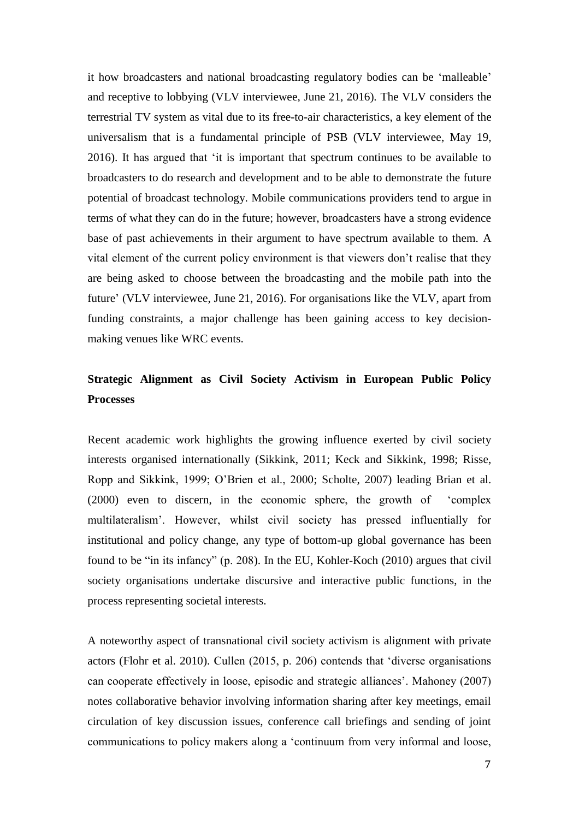it how broadcasters and national broadcasting regulatory bodies can be 'malleable' and receptive to lobbying (VLV interviewee, June 21, 2016)*.* The VLV considers the terrestrial TV system as vital due to its free-to-air characteristics, a key element of the universalism that is a fundamental principle of PSB (VLV interviewee, May 19, 2016). It has argued that 'it is important that spectrum continues to be available to broadcasters to do research and development and to be able to demonstrate the future potential of broadcast technology. Mobile communications providers tend to argue in terms of what they can do in the future; however, broadcasters have a strong evidence base of past achievements in their argument to have spectrum available to them. A vital element of the current policy environment is that viewers don't realise that they are being asked to choose between the broadcasting and the mobile path into the future' (VLV interviewee, June 21, 2016). For organisations like the VLV, apart from funding constraints, a major challenge has been gaining access to key decisionmaking venues like WRC events.

## **Strategic Alignment as Civil Society Activism in European Public Policy Processes**

Recent academic work highlights the growing influence exerted by civil society interests organised internationally (Sikkink, 2011; Keck and Sikkink, 1998; Risse, Ropp and Sikkink, 1999; O'Brien et al., 2000; Scholte, 2007) leading Brian et al. (2000) even to discern, in the economic sphere, the growth of 'complex multilateralism'. However, whilst civil society has pressed influentially for institutional and policy change, any type of bottom-up global governance has been found to be "in its infancy" (p. 208). In the EU, Kohler-Koch (2010) argues that civil society organisations undertake discursive and interactive public functions, in the process representing societal interests.

A noteworthy aspect of transnational civil society activism is alignment with private actors (Flohr et al. 2010). Cullen (2015, p. 206) contends that 'diverse organisations can cooperate effectively in loose, episodic and strategic alliances'. Mahoney (2007) notes collaborative behavior involving information sharing after key meetings, email circulation of key discussion issues, conference call briefings and sending of joint communications to policy makers along a 'continuum from very informal and loose,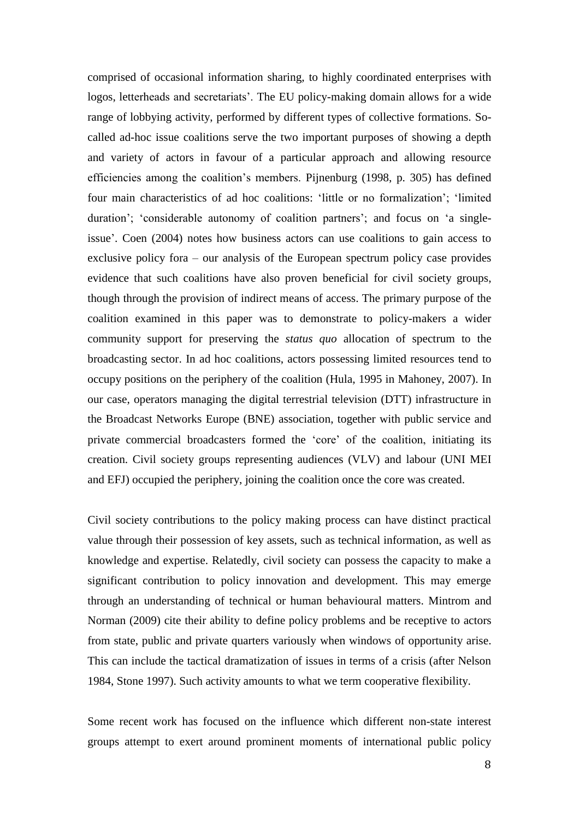comprised of occasional information sharing, to highly coordinated enterprises with logos, letterheads and secretariats'. The EU policy-making domain allows for a wide range of lobbying activity, performed by different types of collective formations. Socalled ad-hoc issue coalitions serve the two important purposes of showing a depth and variety of actors in favour of a particular approach and allowing resource efficiencies among the coalition's members. Pijnenburg (1998, p. 305) has defined four main characteristics of ad hoc coalitions: 'little or no formalization'; 'limited duration'; 'considerable autonomy of coalition partners'; and focus on 'a singleissue'. Coen (2004) notes how business actors can use coalitions to gain access to exclusive policy fora – our analysis of the European spectrum policy case provides evidence that such coalitions have also proven beneficial for civil society groups, though through the provision of indirect means of access. The primary purpose of the coalition examined in this paper was to demonstrate to policy-makers a wider community support for preserving the *status quo* allocation of spectrum to the broadcasting sector. In ad hoc coalitions, actors possessing limited resources tend to occupy positions on the periphery of the coalition (Hula, 1995 in Mahoney, 2007). In our case, operators managing the digital terrestrial television (DTT) infrastructure in the Broadcast Networks Europe (BNE) association, together with public service and private commercial broadcasters formed the 'core' of the coalition, initiating its creation. Civil society groups representing audiences (VLV) and labour (UNI MEI and EFJ) occupied the periphery, joining the coalition once the core was created.

Civil society contributions to the policy making process can have distinct practical value through their possession of key assets, such as technical information, as well as knowledge and expertise. Relatedly, civil society can possess the capacity to make a significant contribution to policy innovation and development. This may emerge through an understanding of technical or human behavioural matters. Mintrom and Norman (2009) cite their ability to define policy problems and be receptive to actors from state, public and private quarters variously when windows of opportunity arise. This can include the tactical dramatization of issues in terms of a crisis (after Nelson 1984, Stone 1997). Such activity amounts to what we term cooperative flexibility.

Some recent work has focused on the influence which different non-state interest groups attempt to exert around prominent moments of international public policy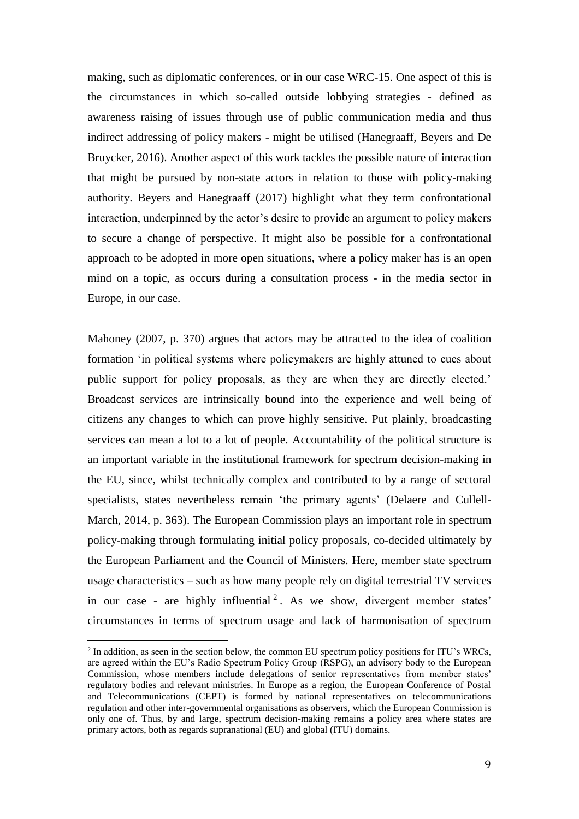making, such as diplomatic conferences, or in our case WRC-15. One aspect of this is the circumstances in which so-called outside lobbying strategies - defined as awareness raising of issues through use of public communication media and thus indirect addressing of policy makers - might be utilised (Hanegraaff, Beyers and De Bruycker, 2016). Another aspect of this work tackles the possible nature of interaction that might be pursued by non-state actors in relation to those with policy-making authority. Beyers and Hanegraaff (2017) highlight what they term confrontational interaction, underpinned by the actor's desire to provide an argument to policy makers to secure a change of perspective. It might also be possible for a confrontational approach to be adopted in more open situations, where a policy maker has is an open mind on a topic, as occurs during a consultation process - in the media sector in Europe, in our case.

Mahoney (2007, p. 370) argues that actors may be attracted to the idea of coalition formation 'in political systems where policymakers are highly attuned to cues about public support for policy proposals, as they are when they are directly elected.' Broadcast services are intrinsically bound into the experience and well being of citizens any changes to which can prove highly sensitive. Put plainly, broadcasting services can mean a lot to a lot of people. Accountability of the political structure is an important variable in the institutional framework for spectrum decision-making in the EU, since, whilst technically complex and contributed to by a range of sectoral specialists, states nevertheless remain 'the primary agents' (Delaere and Cullell-March, 2014, p. 363). The European Commission plays an important role in spectrum policy-making through formulating initial policy proposals, co-decided ultimately by the European Parliament and the Council of Ministers. Here, member state spectrum usage characteristics – such as how many people rely on digital terrestrial TV services in our case - are highly influential<sup>2</sup>. As we show, divergent member states' circumstances in terms of spectrum usage and lack of harmonisation of spectrum

 $\overline{a}$ 

<sup>&</sup>lt;sup>2</sup> In addition, as seen in the section below, the common EU spectrum policy positions for ITU's WRCs, are agreed within the EU's Radio Spectrum Policy Group (RSPG), an advisory body to the European Commission, whose members include delegations of senior representatives from member states' regulatory bodies and relevant ministries. In Europe as a region, the European Conference of Postal and Telecommunications (CEPT) is formed by national representatives on telecommunications regulation and other inter-governmental organisations as observers, which the European Commission is only one of. Thus, by and large, spectrum decision-making remains a policy area where states are primary actors, both as regards supranational (EU) and global (ITU) domains.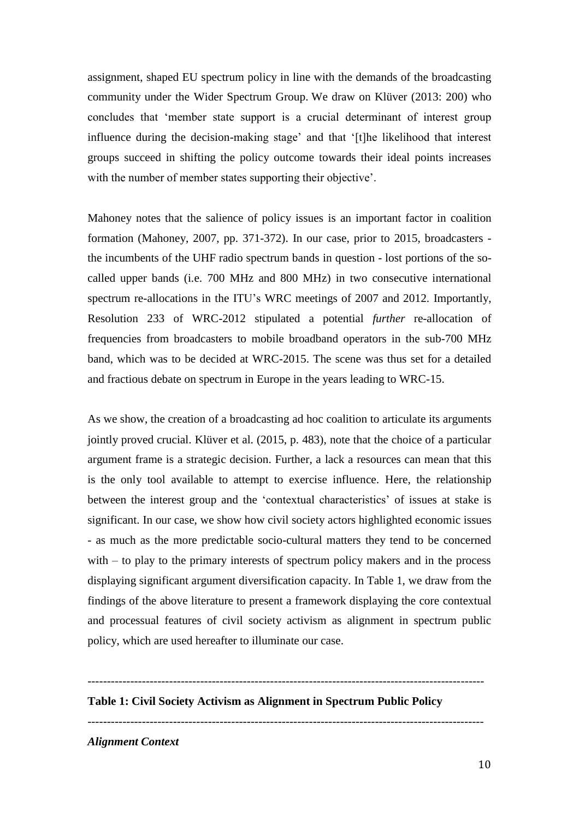assignment, shaped EU spectrum policy in line with the demands of the broadcasting community under the Wider Spectrum Group. We draw on Klüver (2013: 200) who concludes that 'member state support is a crucial determinant of interest group influence during the decision-making stage' and that '[t]he likelihood that interest groups succeed in shifting the policy outcome towards their ideal points increases with the number of member states supporting their objective'.

Mahoney notes that the salience of policy issues is an important factor in coalition formation (Mahoney, 2007, pp. 371-372). In our case, prior to 2015, broadcasters the incumbents of the UHF radio spectrum bands in question - lost portions of the socalled upper bands (i.e. 700 MHz and 800 MHz) in two consecutive international spectrum re-allocations in the ITU's WRC meetings of 2007 and 2012. Importantly, Resolution 233 of WRC-2012 stipulated a potential *further* re-allocation of frequencies from broadcasters to mobile broadband operators in the sub-700 MHz band, which was to be decided at WRC-2015. The scene was thus set for a detailed and fractious debate on spectrum in Europe in the years leading to WRC-15.

As we show, the creation of a broadcasting ad hoc coalition to articulate its arguments jointly proved crucial. Klüver et al. (2015, p. 483), note that the choice of a particular argument frame is a strategic decision. Further, a lack a resources can mean that this is the only tool available to attempt to exercise influence. Here, the relationship between the interest group and the 'contextual characteristics' of issues at stake is significant. In our case, we show how civil society actors highlighted economic issues - as much as the more predictable socio-cultural matters they tend to be concerned with – to play to the primary interests of spectrum policy makers and in the process displaying significant argument diversification capacity. In Table 1, we draw from the findings of the above literature to present a framework displaying the core contextual and processual features of civil society activism as alignment in spectrum public policy, which are used hereafter to illuminate our case.

**Table 1: Civil Society Activism as Alignment in Spectrum Public Policy**

------------------------------------------------------------------------------------------------------

------------------------------------------------------------------------------------------------------

#### *Alignment Context*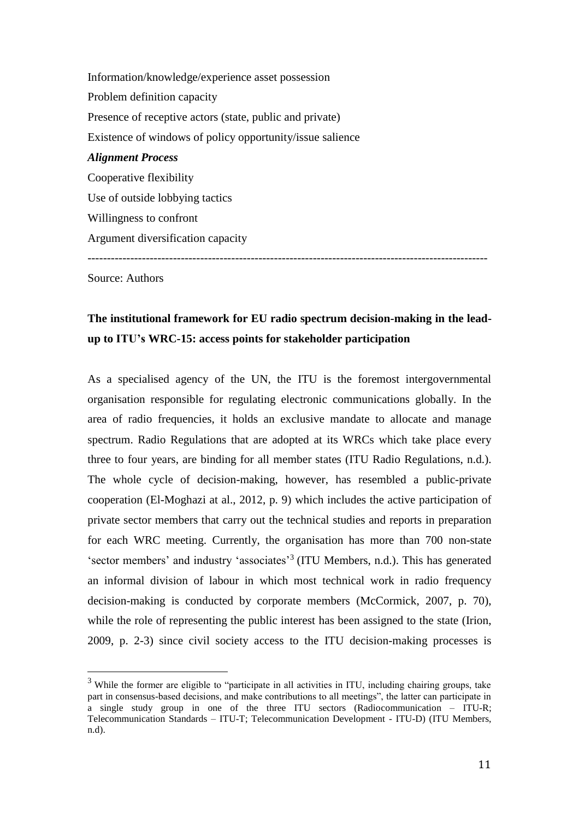Information/knowledge/experience asset possession Problem definition capacity Presence of receptive actors (state, public and private) Existence of windows of policy opportunity/issue salience *Alignment Process* Cooperative flexibility Use of outside lobbying tactics Willingness to confront Argument diversification capacity -------------------------------------------------------------------------------------------------------

Source: Authors

 $\overline{a}$ 

## **The institutional framework for EU radio spectrum decision-making in the leadup to ITU's WRC-15: access points for stakeholder participation**

As a specialised agency of the UN, the ITU is the foremost intergovernmental organisation responsible for regulating electronic communications globally. In the area of radio frequencies, it holds an exclusive mandate to allocate and manage spectrum. Radio Regulations that are adopted at its WRCs which take place every three to four years, are binding for all member states (ITU Radio Regulations, n.d.). The whole cycle of decision-making, however, has resembled a public-private cooperation (El-Moghazi at al., 2012, p. 9) which includes the active participation of private sector members that carry out the technical studies and reports in preparation for each WRC meeting. Currently, the organisation has more than 700 non-state 'sector members' and industry 'associates'<sup>3</sup> (ITU Members, n.d.). This has generated an informal division of labour in which most technical work in radio frequency decision-making is conducted by corporate members (McCormick, 2007, p. 70), while the role of representing the public interest has been assigned to the state (Irion, 2009, p. 2-3) since civil society access to the ITU decision-making processes is

<sup>&</sup>lt;sup>3</sup> While the former are eligible to "participate in all activities in ITU, including chairing groups, take part in consensus-based decisions, and make contributions to all meetings", the latter can participate in a single study group in one of the three ITU sectors (Radiocommunication – ITU-R; Telecommunication Standards – ITU-T; Telecommunication Development - ITU-D) (ITU Members, n.d).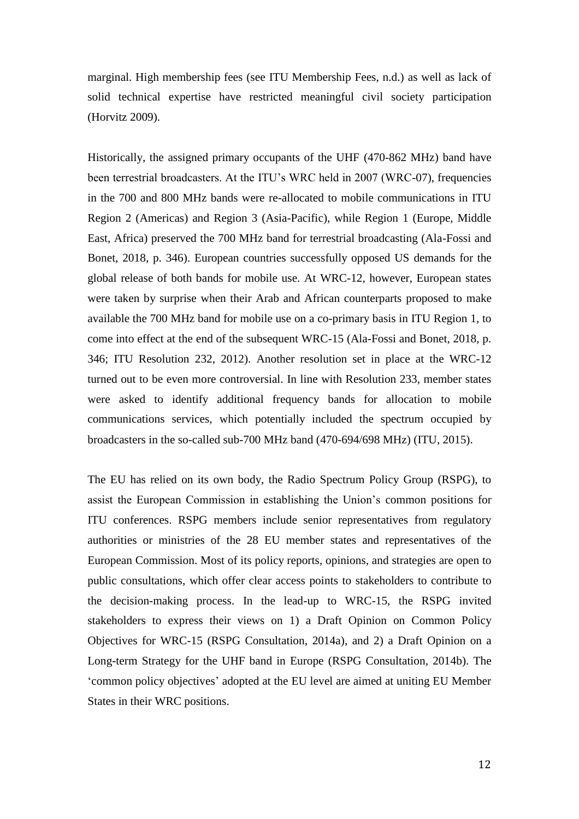marginal. High membership fees (see ITU Membership Fees, n.d.) as well as lack of solid technical expertise have restricted meaningful civil society participation (Horvitz 2009).

Historically, the assigned primary occupants of the UHF (470-862 MHz) band have been terrestrial broadcasters. At the ITU's WRC held in 2007 (WRC-07), frequencies in the 700 and 800 MHz bands were re-allocated to mobile communications in ITU Region 2 (Americas) and Region 3 (Asia-Pacific), while Region 1 (Europe, Middle East, Africa) preserved the 700 MHz band for terrestrial broadcasting (Ala-Fossi and Bonet, 2018, p. 346). European countries successfully opposed US demands for the global release of both bands for mobile use. At WRC-12, however, European states were taken by surprise when their Arab and African counterparts proposed to make available the 700 MHz band for mobile use on a co-primary basis in ITU Region 1, to come into effect at the end of the subsequent WRC-15 (Ala-Fossi and Bonet, 2018, p. 346; ITU Resolution 232, 2012). Another resolution set in place at the WRC-12 turned out to be even more controversial. In line with Resolution 233, member states were asked to identify additional frequency bands for allocation to mobile communications services, which potentially included the spectrum occupied by broadcasters in the so-called sub-700 MHz band (470-694/698 MHz) (ITU, 2015).

The EU has relied on its own body, the Radio Spectrum Policy Group (RSPG), to assist the European Commission in establishing the Union's common positions for ITU conferences. RSPG members include senior representatives from regulatory authorities or ministries of the 28 EU member states and representatives of the European Commission. Most of its policy reports, opinions, and strategies are open to public consultations, which offer clear access points to stakeholders to contribute to the decision-making process. In the lead-up to WRC-15, the RSPG invited stakeholders to express their views on 1) a Draft Opinion on Common Policy Objectives for WRC-15 (RSPG Consultation, 2014a), and 2) a Draft Opinion on a Long-term Strategy for the UHF band in Europe (RSPG Consultation, 2014b). The 'common policy objectives' adopted at the EU level are aimed at uniting EU Member States in their WRC positions.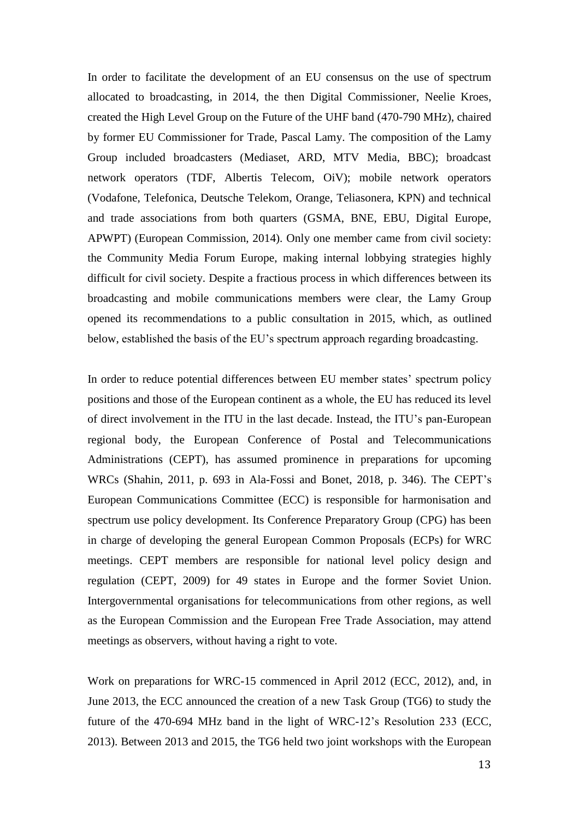In order to facilitate the development of an EU consensus on the use of spectrum allocated to broadcasting, in 2014, the then Digital Commissioner, Neelie Kroes, created the High Level Group on the Future of the UHF band (470-790 MHz), chaired by former EU Commissioner for Trade, Pascal Lamy. The composition of the Lamy Group included broadcasters (Mediaset, ARD, MTV Media, BBC); broadcast network operators (TDF, Albertis Telecom, OiV); mobile network operators (Vodafone, Telefonica, Deutsche Telekom, Orange, Teliasonera, KPN) and technical and trade associations from both quarters (GSMA, BNE, EBU, Digital Europe, APWPT) (European Commission, 2014). Only one member came from civil society: the Community Media Forum Europe, making internal lobbying strategies highly difficult for civil society. Despite a fractious process in which differences between its broadcasting and mobile communications members were clear, the Lamy Group opened its recommendations to a public consultation in 2015, which, as outlined below, established the basis of the EU's spectrum approach regarding broadcasting.

In order to reduce potential differences between EU member states' spectrum policy positions and those of the European continent as a whole, the EU has reduced its level of direct involvement in the ITU in the last decade. Instead, the ITU's pan-European regional body, the European Conference of Postal and Telecommunications Administrations (CEPT), has assumed prominence in preparations for upcoming WRCs (Shahin, 2011, p. 693 in Ala-Fossi and Bonet, 2018, p. 346). The CEPT's European Communications Committee (ECC) is responsible for harmonisation and spectrum use policy development. Its Conference Preparatory Group (CPG) has been in charge of developing the general European Common Proposals (ECPs) for WRC meetings. CEPT members are responsible for national level policy design and regulation (CEPT, 2009) for 49 states in Europe and the former Soviet Union. Intergovernmental organisations for telecommunications from other regions, as well as the European Commission and the European Free Trade Association, may attend meetings as observers, without having a right to vote.

Work on preparations for WRC-15 commenced in April 2012 (ECC, 2012), and, in June 2013, the ECC announced the creation of a new Task Group (TG6) to study the future of the 470-694 MHz band in the light of WRC-12's Resolution 233 (ECC, 2013). Between 2013 and 2015, the TG6 held two joint workshops with the European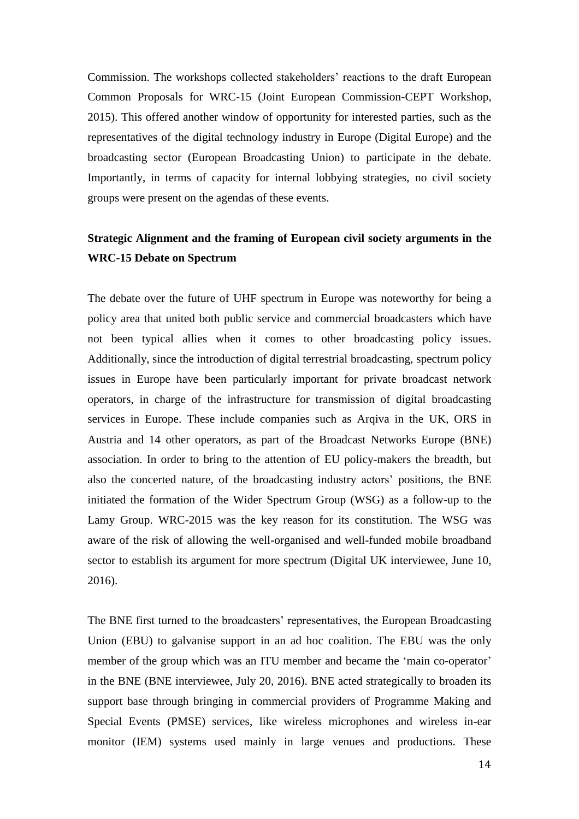Commission. The workshops collected stakeholders' reactions to the draft European Common Proposals for WRC-15 (Joint European Commission-CEPT Workshop, 2015). This offered another window of opportunity for interested parties, such as the representatives of the digital technology industry in Europe (Digital Europe) and the broadcasting sector (European Broadcasting Union) to participate in the debate. Importantly, in terms of capacity for internal lobbying strategies, no civil society groups were present on the agendas of these events.

#### **Strategic Alignment and the framing of European civil society arguments in the WRC-15 Debate on Spectrum**

The debate over the future of UHF spectrum in Europe was noteworthy for being a policy area that united both public service and commercial broadcasters which have not been typical allies when it comes to other broadcasting policy issues. Additionally, since the introduction of digital terrestrial broadcasting, spectrum policy issues in Europe have been particularly important for private broadcast network operators, in charge of the infrastructure for transmission of digital broadcasting services in Europe. These include companies such as Arqiva in the UK, ORS in Austria and 14 other operators, as part of the Broadcast Networks Europe (BNE) association. In order to bring to the attention of EU policy-makers the breadth, but also the concerted nature, of the broadcasting industry actors' positions, the BNE initiated the formation of the Wider Spectrum Group (WSG) as a follow-up to the Lamy Group. WRC-2015 was the key reason for its constitution. The WSG was aware of the risk of allowing the well-organised and well-funded mobile broadband sector to establish its argument for more spectrum (Digital UK interviewee, June 10, 2016).

The BNE first turned to the broadcasters' representatives, the European Broadcasting Union (EBU) to galvanise support in an ad hoc coalition. The EBU was the only member of the group which was an ITU member and became the 'main co-operator' in the BNE (BNE interviewee, July 20, 2016). BNE acted strategically to broaden its support base through bringing in commercial providers of Programme Making and Special Events (PMSE) services, like wireless microphones and wireless in-ear monitor (IEM) systems used mainly in large venues and productions. These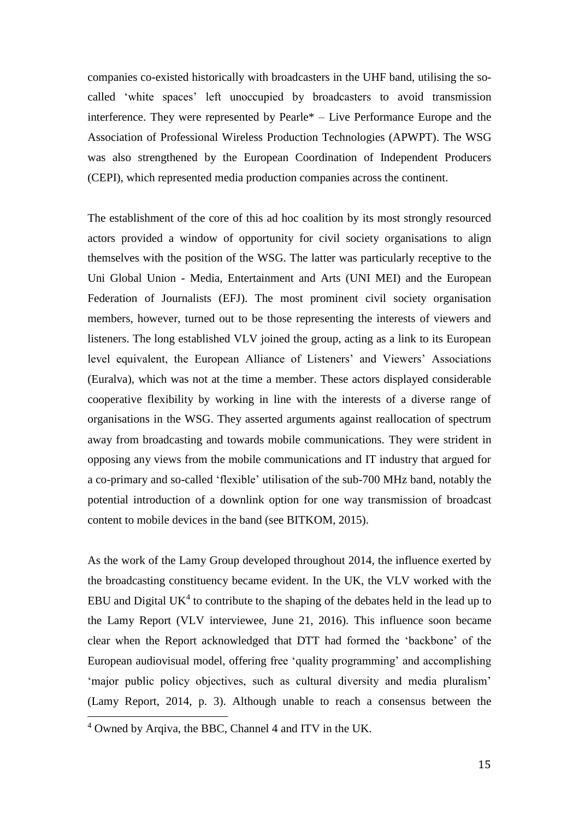companies co-existed historically with broadcasters in the UHF band, utilising the socalled 'white spaces' left unoccupied by broadcasters to avoid transmission interference. They were represented by Pearle\* – Live Performance Europe and the Association of Professional Wireless Production Technologies (APWPT). The WSG was also strengthened by the European Coordination of Independent Producers (CEPI), which represented media production companies across the continent.

The establishment of the core of this ad hoc coalition by its most strongly resourced actors provided a window of opportunity for civil society organisations to align themselves with the position of the WSG. The latter was particularly receptive to the Uni Global Union - Media, Entertainment and Arts (UNI MEI) and the European Federation of Journalists (EFJ). The most prominent civil society organisation members, however, turned out to be those representing the interests of viewers and listeners. The long established VLV joined the group, acting as a link to its European level equivalent, the European Alliance of Listeners' and Viewers' Associations (Euralva), which was not at the time a member. These actors displayed considerable cooperative flexibility by working in line with the interests of a diverse range of organisations in the WSG. They asserted arguments against reallocation of spectrum away from broadcasting and towards mobile communications. They were strident in opposing any views from the mobile communications and IT industry that argued for a co-primary and so-called 'flexible' utilisation of the sub-700 MHz band, notably the potential introduction of a downlink option for one way transmission of broadcast content to mobile devices in the band (see BITKOM, 2015).

As the work of the Lamy Group developed throughout 2014, the influence exerted by the broadcasting constituency became evident. In the UK, the VLV worked with the EBU and Digital UK<sup>4</sup> to contribute to the shaping of the debates held in the lead up to the Lamy Report (VLV interviewee, June 21, 2016). This influence soon became clear when the Report acknowledged that DTT had formed the 'backbone' of the European audiovisual model, offering free 'quality programming' and accomplishing 'major public policy objectives, such as cultural diversity and media pluralism' (Lamy Report, 2014, p. 3). Although unable to reach a consensus between the

 $\overline{a}$ 

<sup>4</sup> Owned by Arqiva, the BBC, Channel 4 and ITV in the UK.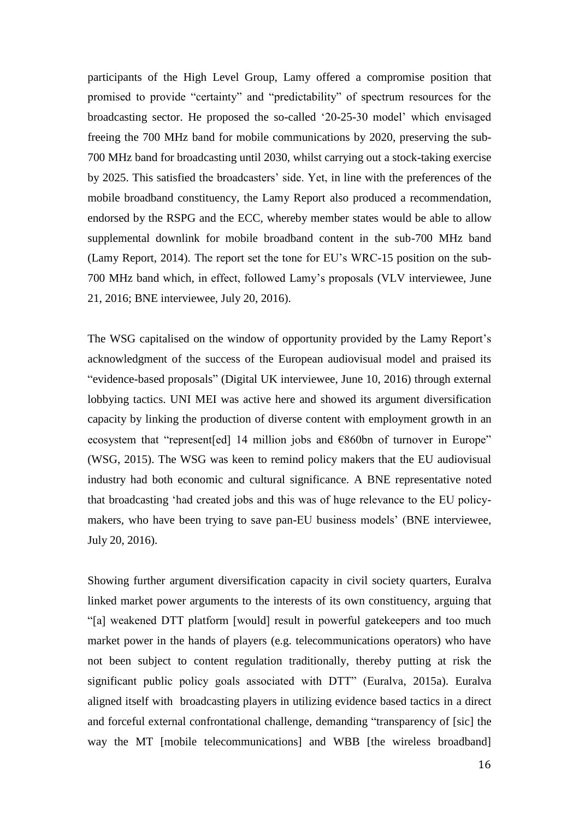participants of the High Level Group, Lamy offered a compromise position that promised to provide "certainty" and "predictability" of spectrum resources for the broadcasting sector. He proposed the so-called '20-25-30 model' which envisaged freeing the 700 MHz band for mobile communications by 2020, preserving the sub-700 MHz band for broadcasting until 2030, whilst carrying out a stock-taking exercise by 2025. This satisfied the broadcasters' side. Yet, in line with the preferences of the mobile broadband constituency, the Lamy Report also produced a recommendation, endorsed by the RSPG and the ECC, whereby member states would be able to allow supplemental downlink for mobile broadband content in the sub-700 MHz band (Lamy Report, 2014). The report set the tone for EU's WRC-15 position on the sub-700 MHz band which, in effect, followed Lamy's proposals (VLV interviewee, June 21, 2016; BNE interviewee, July 20, 2016).

The WSG capitalised on the window of opportunity provided by the Lamy Report's acknowledgment of the success of the European audiovisual model and praised its "evidence-based proposals" (Digital UK interviewee, June 10, 2016) through external lobbying tactics. UNI MEI was active here and showed its argument diversification capacity by linking the production of diverse content with employment growth in an ecosystem that "represent [ed] 14 million jobs and  $\epsilon$ 860bn of turnover in Europe" (WSG, 2015). The WSG was keen to remind policy makers that the EU audiovisual industry had both economic and cultural significance. A BNE representative noted that broadcasting 'had created jobs and this was of huge relevance to the EU policymakers, who have been trying to save pan-EU business models' (BNE interviewee, July 20, 2016).

Showing further argument diversification capacity in civil society quarters, Euralva linked market power arguments to the interests of its own constituency, arguing that "[a] weakened DTT platform [would] result in powerful gatekeepers and too much market power in the hands of players (e.g. telecommunications operators) who have not been subject to content regulation traditionally, thereby putting at risk the significant public policy goals associated with DTT" (Euralva, 2015a). Euralva aligned itself with broadcasting players in utilizing evidence based tactics in a direct and forceful external confrontational challenge, demanding "transparency of [sic] the way the MT [mobile telecommunications] and WBB [the wireless broadband]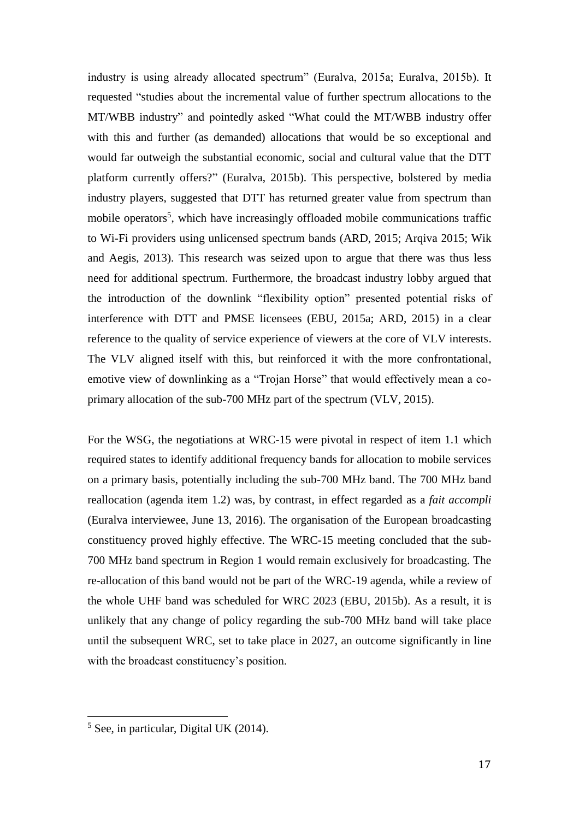industry is using already allocated spectrum" (Euralva, 2015a; Euralva, 2015b). It requested "studies about the incremental value of further spectrum allocations to the MT/WBB industry" and pointedly asked "What could the MT/WBB industry offer with this and further (as demanded) allocations that would be so exceptional and would far outweigh the substantial economic, social and cultural value that the DTT platform currently offers?" (Euralva, 2015b). This perspective, bolstered by media industry players, suggested that DTT has returned greater value from spectrum than mobile operators 5 , which have increasingly offloaded mobile communications traffic to Wi-Fi providers using unlicensed spectrum bands (ARD, 2015; Arqiva 2015; Wik and Aegis, 2013). This research was seized upon to argue that there was thus less need for additional spectrum. Furthermore, the broadcast industry lobby argued that the introduction of the downlink "flexibility option" presented potential risks of interference with DTT and PMSE licensees (EBU, 2015a; ARD, 2015) in a clear reference to the quality of service experience of viewers at the core of VLV interests. The VLV aligned itself with this, but reinforced it with the more confrontational, emotive view of downlinking as a "Trojan Horse" that would effectively mean a coprimary allocation of the sub-700 MHz part of the spectrum (VLV, 2015).

For the WSG, the negotiations at WRC-15 were pivotal in respect of item 1.1 which required states to identify additional frequency bands for allocation to mobile services on a primary basis, potentially including the sub-700 MHz band. The 700 MHz band reallocation (agenda item 1.2) was, by contrast, in effect regarded as a *fait accompli* (Euralva interviewee, June 13, 2016). The organisation of the European broadcasting constituency proved highly effective. The WRC-15 meeting concluded that the sub-700 MHz band spectrum in Region 1 would remain exclusively for broadcasting. The re-allocation of this band would not be part of the WRC-19 agenda, while a review of the whole UHF band was scheduled for WRC 2023 (EBU, 2015b). As a result, it is unlikely that any change of policy regarding the sub-700 MHz band will take place until the subsequent WRC, set to take place in 2027, an outcome significantly in line with the broadcast constituency's position.

 $\overline{a}$ 

 $<sup>5</sup>$  See, in particular, Digital UK (2014).</sup>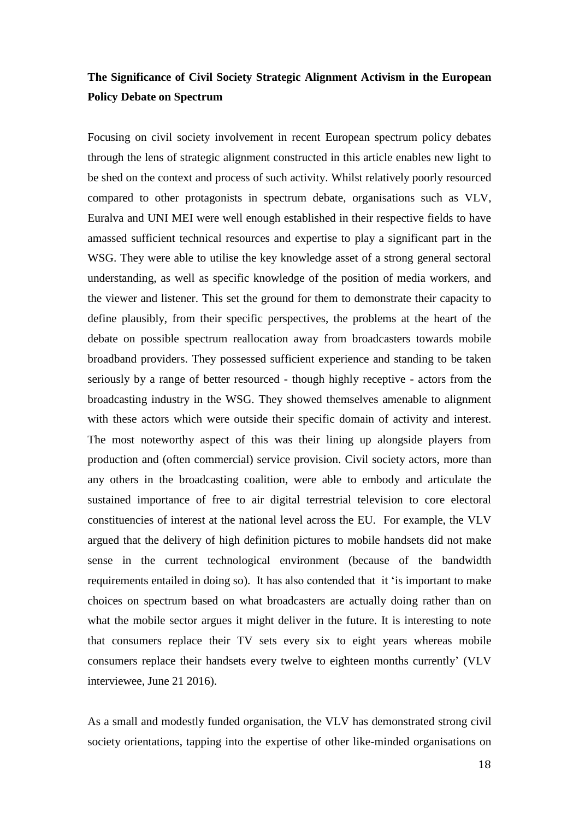#### **The Significance of Civil Society Strategic Alignment Activism in the European Policy Debate on Spectrum**

Focusing on civil society involvement in recent European spectrum policy debates through the lens of strategic alignment constructed in this article enables new light to be shed on the context and process of such activity. Whilst relatively poorly resourced compared to other protagonists in spectrum debate, organisations such as VLV, Euralva and UNI MEI were well enough established in their respective fields to have amassed sufficient technical resources and expertise to play a significant part in the WSG. They were able to utilise the key knowledge asset of a strong general sectoral understanding, as well as specific knowledge of the position of media workers, and the viewer and listener. This set the ground for them to demonstrate their capacity to define plausibly, from their specific perspectives, the problems at the heart of the debate on possible spectrum reallocation away from broadcasters towards mobile broadband providers. They possessed sufficient experience and standing to be taken seriously by a range of better resourced - though highly receptive - actors from the broadcasting industry in the WSG. They showed themselves amenable to alignment with these actors which were outside their specific domain of activity and interest. The most noteworthy aspect of this was their lining up alongside players from production and (often commercial) service provision. Civil society actors, more than any others in the broadcasting coalition, were able to embody and articulate the sustained importance of free to air digital terrestrial television to core electoral constituencies of interest at the national level across the EU. For example, the VLV argued that the delivery of high definition pictures to mobile handsets did not make sense in the current technological environment (because of the bandwidth requirements entailed in doing so). It has also contended that it 'is important to make choices on spectrum based on what broadcasters are actually doing rather than on what the mobile sector argues it might deliver in the future. It is interesting to note that consumers replace their TV sets every six to eight years whereas mobile consumers replace their handsets every twelve to eighteen months currently' (VLV interviewee, June 21 2016).

As a small and modestly funded organisation, the VLV has demonstrated strong civil society orientations, tapping into the expertise of other like-minded organisations on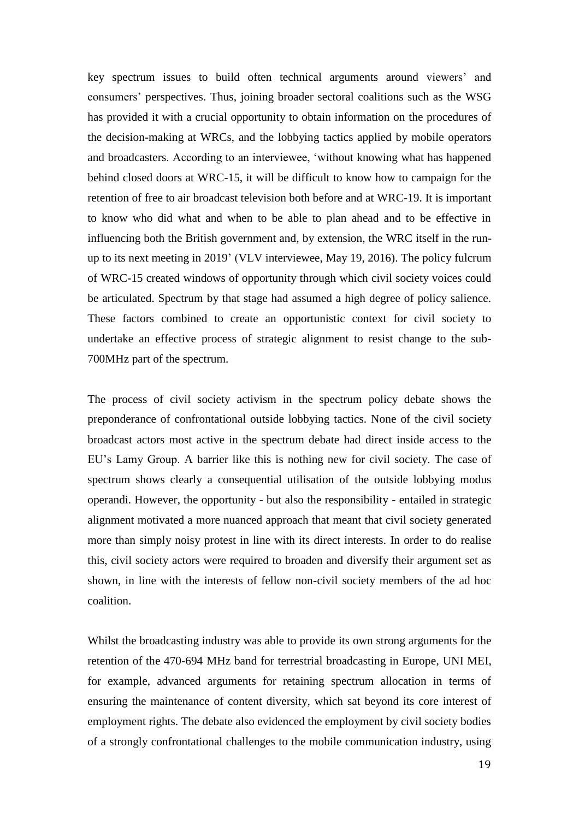key spectrum issues to build often technical arguments around viewers' and consumers' perspectives. Thus, joining broader sectoral coalitions such as the WSG has provided it with a crucial opportunity to obtain information on the procedures of the decision-making at WRCs, and the lobbying tactics applied by mobile operators and broadcasters. According to an interviewee, 'without knowing what has happened behind closed doors at WRC-15, it will be difficult to know how to campaign for the retention of free to air broadcast television both before and at WRC-19. It is important to know who did what and when to be able to plan ahead and to be effective in influencing both the British government and, by extension, the WRC itself in the runup to its next meeting in 2019' (VLV interviewee, May 19, 2016). The policy fulcrum of WRC-15 created windows of opportunity through which civil society voices could be articulated. Spectrum by that stage had assumed a high degree of policy salience. These factors combined to create an opportunistic context for civil society to undertake an effective process of strategic alignment to resist change to the sub-700MHz part of the spectrum.

The process of civil society activism in the spectrum policy debate shows the preponderance of confrontational outside lobbying tactics. None of the civil society broadcast actors most active in the spectrum debate had direct inside access to the EU's Lamy Group. A barrier like this is nothing new for civil society. The case of spectrum shows clearly a consequential utilisation of the outside lobbying modus operandi. However, the opportunity - but also the responsibility - entailed in strategic alignment motivated a more nuanced approach that meant that civil society generated more than simply noisy protest in line with its direct interests. In order to do realise this, civil society actors were required to broaden and diversify their argument set as shown, in line with the interests of fellow non-civil society members of the ad hoc coalition.

Whilst the broadcasting industry was able to provide its own strong arguments for the retention of the 470-694 MHz band for terrestrial broadcasting in Europe, UNI MEI, for example, advanced arguments for retaining spectrum allocation in terms of ensuring the maintenance of content diversity, which sat beyond its core interest of employment rights. The debate also evidenced the employment by civil society bodies of a strongly confrontational challenges to the mobile communication industry, using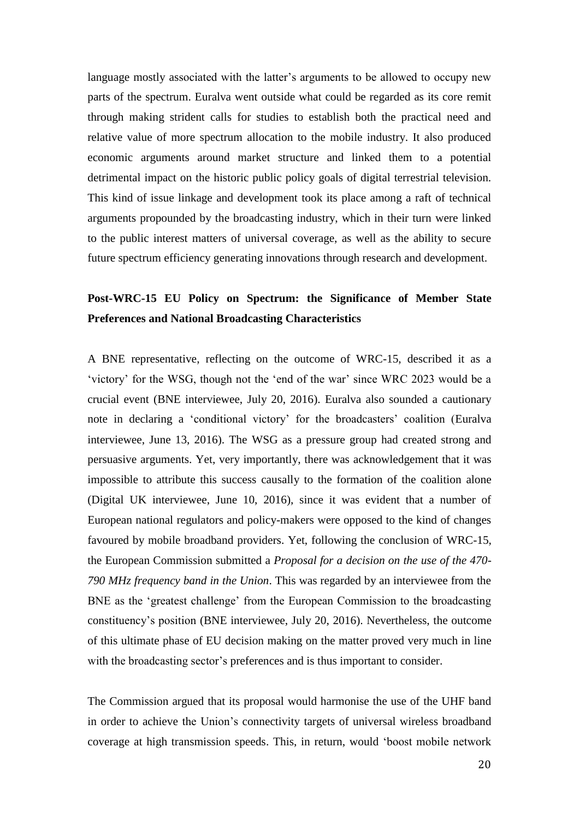language mostly associated with the latter's arguments to be allowed to occupy new parts of the spectrum. Euralva went outside what could be regarded as its core remit through making strident calls for studies to establish both the practical need and relative value of more spectrum allocation to the mobile industry. It also produced economic arguments around market structure and linked them to a potential detrimental impact on the historic public policy goals of digital terrestrial television. This kind of issue linkage and development took its place among a raft of technical arguments propounded by the broadcasting industry, which in their turn were linked to the public interest matters of universal coverage, as well as the ability to secure future spectrum efficiency generating innovations through research and development.

#### **Post-WRC-15 EU Policy on Spectrum: the Significance of Member State Preferences and National Broadcasting Characteristics**

A BNE representative, reflecting on the outcome of WRC-15, described it as a 'victory' for the WSG, though not the 'end of the war' since WRC 2023 would be a crucial event (BNE interviewee, July 20, 2016). Euralva also sounded a cautionary note in declaring a 'conditional victory' for the broadcasters' coalition (Euralva interviewee, June 13, 2016). The WSG as a pressure group had created strong and persuasive arguments. Yet, very importantly, there was acknowledgement that it was impossible to attribute this success causally to the formation of the coalition alone (Digital UK interviewee, June 10, 2016), since it was evident that a number of European national regulators and policy-makers were opposed to the kind of changes favoured by mobile broadband providers. Yet, following the conclusion of WRC-15, the European Commission submitted a *Proposal for a decision on the use of the 470- 790 MHz frequency band in the Union*. This was regarded by an interviewee from the BNE as the 'greatest challenge' from the European Commission to the broadcasting constituency's position (BNE interviewee, July 20, 2016). Nevertheless, the outcome of this ultimate phase of EU decision making on the matter proved very much in line with the broadcasting sector's preferences and is thus important to consider.

The Commission argued that its proposal would harmonise the use of the UHF band in order to achieve the Union's connectivity targets of universal wireless broadband coverage at high transmission speeds. This, in return, would 'boost mobile network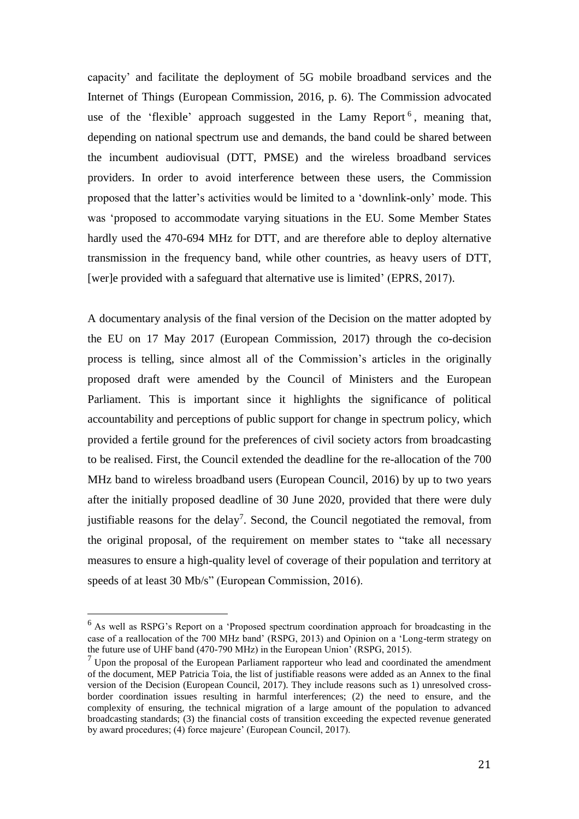capacity' and facilitate the deployment of 5G mobile broadband services and the Internet of Things (European Commission, 2016, p. 6). The Commission advocated use of the 'flexible' approach suggested in the Lamy Report<sup>6</sup>, meaning that, depending on national spectrum use and demands, the band could be shared between the incumbent audiovisual (DTT, PMSE) and the wireless broadband services providers. In order to avoid interference between these users, the Commission proposed that the latter's activities would be limited to a 'downlink-only' mode. This was 'proposed to accommodate varying situations in the EU. Some Member States hardly used the 470-694 MHz for DTT, and are therefore able to deploy alternative transmission in the frequency band, while other countries, as heavy users of DTT, [wer]e provided with a safeguard that alternative use is limited' (EPRS, 2017).

A documentary analysis of the final version of the Decision on the matter adopted by the EU on 17 May 2017 (European Commission, 2017) through the co-decision process is telling, since almost all of the Commission's articles in the originally proposed draft were amended by the Council of Ministers and the European Parliament. This is important since it highlights the significance of political accountability and perceptions of public support for change in spectrum policy, which provided a fertile ground for the preferences of civil society actors from broadcasting to be realised. First, the Council extended the deadline for the re-allocation of the 700 MHz band to wireless broadband users (European Council, 2016) by up to two years after the initially proposed deadline of 30 June 2020, provided that there were duly justifiable reasons for the delay<sup>7</sup>. Second, the Council negotiated the removal, from the original proposal, of the requirement on member states to "take all necessary measures to ensure a high-quality level of coverage of their population and territory at speeds of at least 30 Mb/s" (European Commission, 2016).

 $\overline{a}$ 

<sup>6</sup> As well as RSPG's Report on a 'Proposed spectrum coordination approach for broadcasting in the case of a reallocation of the 700 MHz band' (RSPG, 2013) and Opinion on a 'Long-term strategy on the future use of UHF band (470-790 MHz) in the European Union' (RSPG, 2015).

 $<sup>7</sup>$  Upon the proposal of the European Parliament rapporteur who lead and coordinated the amendment</sup> of the document, MEP Patricia Toia, the list of justifiable reasons were added as an Annex to the final version of the Decision (European Council, 2017). They include reasons such as 1) unresolved crossborder coordination issues resulting in harmful interferences; (2) the need to ensure, and the complexity of ensuring, the technical migration of a large amount of the population to advanced broadcasting standards; (3) the financial costs of transition exceeding the expected revenue generated by award procedures; (4) force majeure' (European Council, 2017).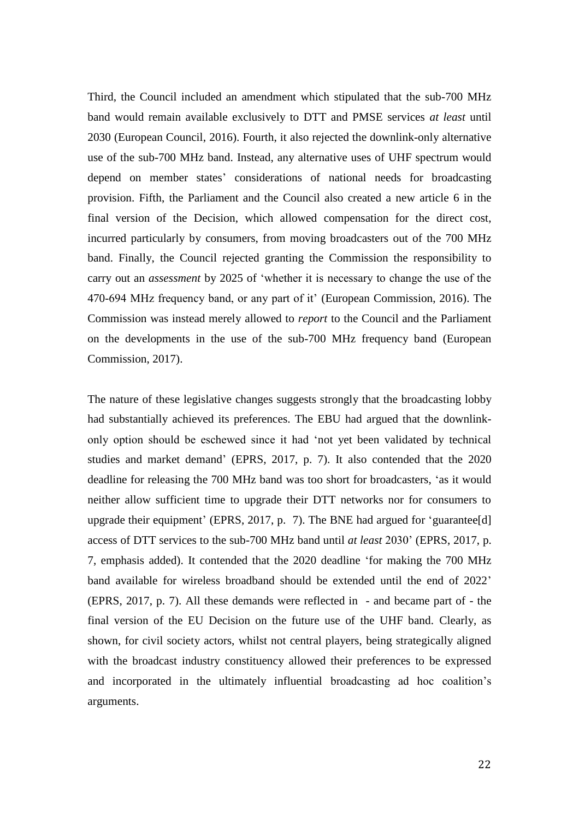Third, the Council included an amendment which stipulated that the sub-700 MHz band would remain available exclusively to DTT and PMSE services *at least* until 2030 (European Council, 2016). Fourth, it also rejected the downlink-only alternative use of the sub-700 MHz band. Instead, any alternative uses of UHF spectrum would depend on member states' considerations of national needs for broadcasting provision. Fifth, the Parliament and the Council also created a new article 6 in the final version of the Decision, which allowed compensation for the direct cost, incurred particularly by consumers, from moving broadcasters out of the 700 MHz band. Finally, the Council rejected granting the Commission the responsibility to carry out an *assessment* by 2025 of 'whether it is necessary to change the use of the 470-694 MHz frequency band, or any part of it' (European Commission, 2016). The Commission was instead merely allowed to *report* to the Council and the Parliament on the developments in the use of the sub-700 MHz frequency band (European Commission, 2017).

The nature of these legislative changes suggests strongly that the broadcasting lobby had substantially achieved its preferences. The EBU had argued that the downlinkonly option should be eschewed since it had 'not yet been validated by technical studies and market demand' (EPRS, 2017, p. 7). It also contended that the 2020 deadline for releasing the 700 MHz band was too short for broadcasters, 'as it would neither allow sufficient time to upgrade their DTT networks nor for consumers to upgrade their equipment' (EPRS, 2017, p. 7). The BNE had argued for 'guarantee[d] access of DTT services to the sub-700 MHz band until *at least* 2030' (EPRS, 2017, p. 7, emphasis added). It contended that the 2020 deadline 'for making the 700 MHz band available for wireless broadband should be extended until the end of 2022' (EPRS, 2017, p. 7). All these demands were reflected in - and became part of - the final version of the EU Decision on the future use of the UHF band. Clearly, as shown, for civil society actors, whilst not central players, being strategically aligned with the broadcast industry constituency allowed their preferences to be expressed and incorporated in the ultimately influential broadcasting ad hoc coalition's arguments.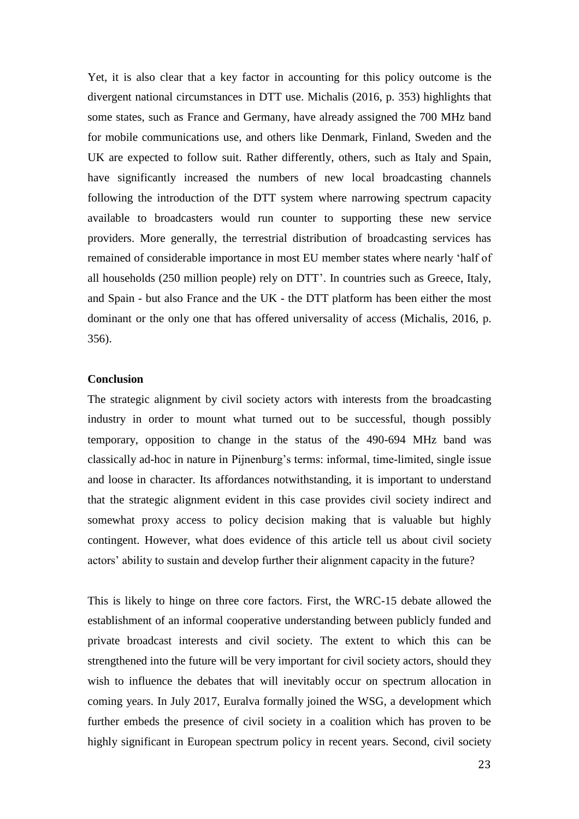Yet, it is also clear that a key factor in accounting for this policy outcome is the divergent national circumstances in DTT use. Michalis (2016, p. 353) highlights that some states, such as France and Germany, have already assigned the 700 MHz band for mobile communications use, and others like Denmark, Finland, Sweden and the UK are expected to follow suit. Rather differently, others, such as Italy and Spain, have significantly increased the numbers of new local broadcasting channels following the introduction of the DTT system where narrowing spectrum capacity available to broadcasters would run counter to supporting these new service providers. More generally, the terrestrial distribution of broadcasting services has remained of considerable importance in most EU member states where nearly 'half of all households (250 million people) rely on DTT'. In countries such as Greece, Italy, and Spain - but also France and the UK - the DTT platform has been either the most dominant or the only one that has offered universality of access (Michalis, 2016, p. 356).

#### **Conclusion**

The strategic alignment by civil society actors with interests from the broadcasting industry in order to mount what turned out to be successful, though possibly temporary, opposition to change in the status of the 490-694 MHz band was classically ad-hoc in nature in Pijnenburg's terms: informal, time-limited, single issue and loose in character. Its affordances notwithstanding, it is important to understand that the strategic alignment evident in this case provides civil society indirect and somewhat proxy access to policy decision making that is valuable but highly contingent. However, what does evidence of this article tell us about civil society actors' ability to sustain and develop further their alignment capacity in the future?

This is likely to hinge on three core factors. First, the WRC-15 debate allowed the establishment of an informal cooperative understanding between publicly funded and private broadcast interests and civil society. The extent to which this can be strengthened into the future will be very important for civil society actors, should they wish to influence the debates that will inevitably occur on spectrum allocation in coming years. In July 2017, Euralva formally joined the WSG, a development which further embeds the presence of civil society in a coalition which has proven to be highly significant in European spectrum policy in recent years. Second, civil society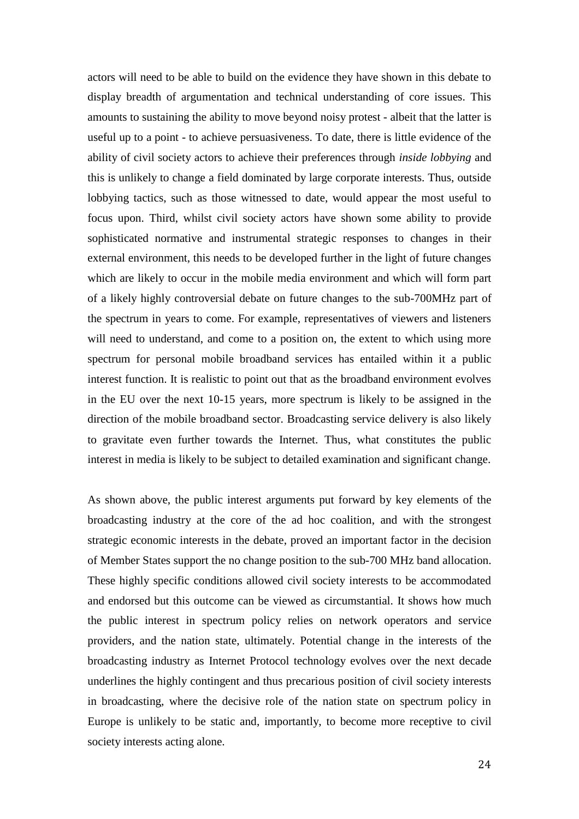actors will need to be able to build on the evidence they have shown in this debate to display breadth of argumentation and technical understanding of core issues. This amounts to sustaining the ability to move beyond noisy protest - albeit that the latter is useful up to a point - to achieve persuasiveness. To date, there is little evidence of the ability of civil society actors to achieve their preferences through *inside lobbying* and this is unlikely to change a field dominated by large corporate interests. Thus, outside lobbying tactics, such as those witnessed to date, would appear the most useful to focus upon. Third, whilst civil society actors have shown some ability to provide sophisticated normative and instrumental strategic responses to changes in their external environment, this needs to be developed further in the light of future changes which are likely to occur in the mobile media environment and which will form part of a likely highly controversial debate on future changes to the sub-700MHz part of the spectrum in years to come. For example, representatives of viewers and listeners will need to understand, and come to a position on, the extent to which using more spectrum for personal mobile broadband services has entailed within it a public interest function. It is realistic to point out that as the broadband environment evolves in the EU over the next 10-15 years, more spectrum is likely to be assigned in the direction of the mobile broadband sector. Broadcasting service delivery is also likely to gravitate even further towards the Internet. Thus, what constitutes the public interest in media is likely to be subject to detailed examination and significant change.

As shown above, the public interest arguments put forward by key elements of the broadcasting industry at the core of the ad hoc coalition, and with the strongest strategic economic interests in the debate, proved an important factor in the decision of Member States support the no change position to the sub-700 MHz band allocation. These highly specific conditions allowed civil society interests to be accommodated and endorsed but this outcome can be viewed as circumstantial. It shows how much the public interest in spectrum policy relies on network operators and service providers, and the nation state, ultimately. Potential change in the interests of the broadcasting industry as Internet Protocol technology evolves over the next decade underlines the highly contingent and thus precarious position of civil society interests in broadcasting, where the decisive role of the nation state on spectrum policy in Europe is unlikely to be static and, importantly, to become more receptive to civil society interests acting alone.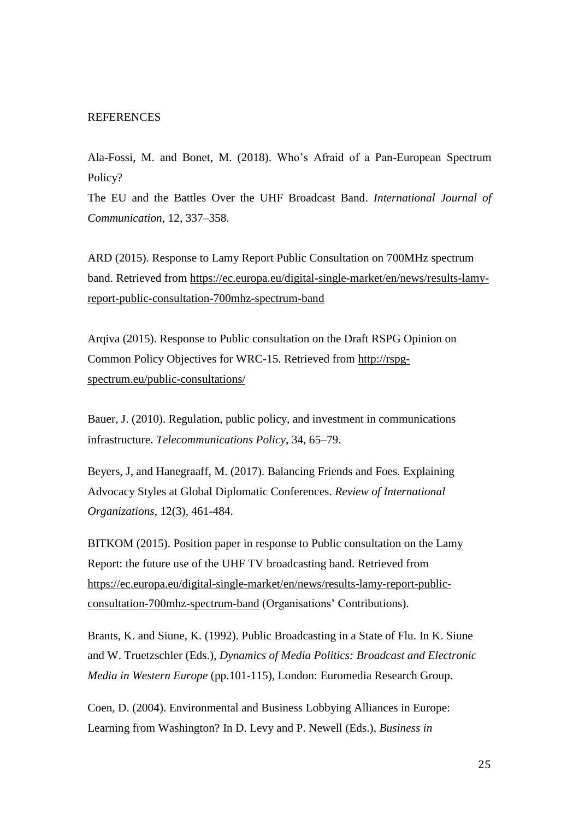#### REFERENCES

Ala-Fossi, M. and Bonet, M. (2018). Who's Afraid of a Pan-European Spectrum Policy?

The EU and the Battles Over the UHF Broadcast Band. *International Journal of Communication*, 12, 337–358.

ARD (2015). Response to Lamy Report Public Consultation on 700MHz spectrum band. Retrieved from [https://ec.europa.eu/digital-single-market/en/news/results-lamy](https://ec.europa.eu/digital-single-market/en/news/results-lamy-report-public-consultation-700mhz-spectrum-band)[report-public-consultation-700mhz-spectrum-band](https://ec.europa.eu/digital-single-market/en/news/results-lamy-report-public-consultation-700mhz-spectrum-band)

Arqiva (2015). Response to Public consultation on the Draft RSPG Opinion on Common Policy Objectives for WRC-15. Retrieved from [http://rspg](http://rspg-spectrum.eu/public-consultations/)[spectrum.eu/public-consultations/](http://rspg-spectrum.eu/public-consultations/)

Bauer, J. (2010). Regulation, public policy, and investment in communications infrastructure. *Telecommunications Policy*, 34, 65–79.

Beyers, J, and Hanegraaff, M. (2017). Balancing Friends and Foes. Explaining Advocacy Styles at Global Diplomatic Conferences. *Review of International Organizations*, 12(3), 461-484.

BITKOM (2015). Position paper in response to Public consultation on the Lamy Report: the future use of the UHF TV broadcasting band. Retrieved from [https://ec.europa.eu/digital-single-market/en/news/results-lamy-report-public](https://ec.europa.eu/digital-single-market/en/news/results-lamy-report-public-consultation-700mhz-spectrum-band)[consultation-700mhz-spectrum-band](https://ec.europa.eu/digital-single-market/en/news/results-lamy-report-public-consultation-700mhz-spectrum-band) (Organisations' Contributions).

Brants, K. and Siune, K. (1992). Public Broadcasting in a State of Flu. In K. Siune and W. Truetzschler (Eds.), *Dynamics of Media Politics: Broadcast and Electronic Media in Western Europe* (pp.101-115), London: Euromedia Research Group.

Coen, D. (2004). Environmental and Business Lobbying Alliances in Europe: Learning from Washington? In D. Levy and P. Newell (Eds.), *Business in*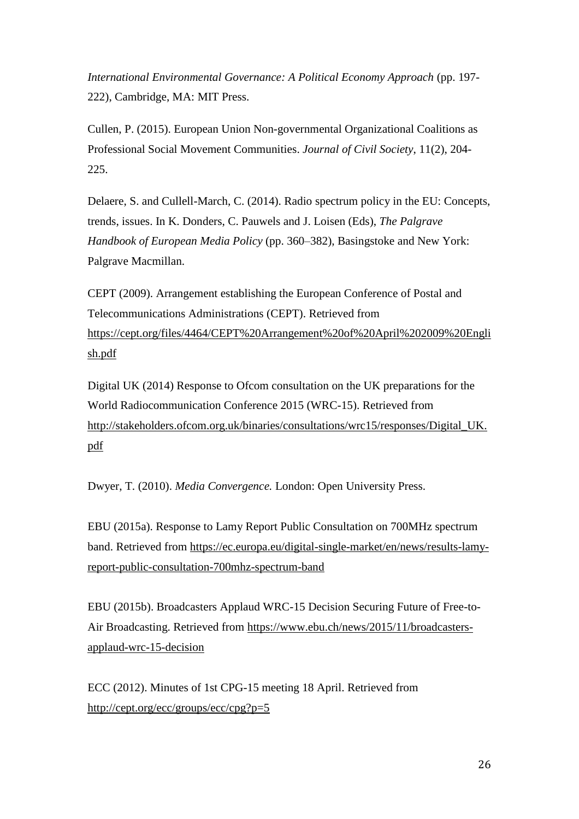*International Environmental Governance: A Political Economy Approach* (pp. 197- 222), Cambridge, MA: MIT Press.

Cullen, P. (2015). European Union Non-governmental Organizational Coalitions as Professional Social Movement Communities. *Journal of Civil Society*, 11(2), 204- 225.

Delaere, S. and Cullell-March, C. (2014). Radio spectrum policy in the EU: Concepts, trends, issues. In K. Donders, C. Pauwels and J. Loisen (Eds), *The Palgrave Handbook of European Media Policy* (pp. 360–382), Basingstoke and New York: Palgrave Macmillan.

CEPT (2009). Arrangement establishing the European Conference of Postal and Telecommunications Administrations (CEPT). Retrieved from [https://cept.org/files/4464/CEPT%20Arrangement%20of%20April%202009%20Engli](https://cept.org/files/4464/CEPT%20Arrangement%20of%20April%202009%20English.pdf) [sh.pdf](https://cept.org/files/4464/CEPT%20Arrangement%20of%20April%202009%20English.pdf)

Digital UK (2014) Response to Ofcom consultation on the UK preparations for the World Radiocommunication Conference 2015 (WRC-15). Retrieved from http://stakeholders.ofcom.org.uk/binaries/consultations/wrc15/responses/Digital UK. [pdf](http://stakeholders.ofcom.org.uk/binaries/consultations/wrc15/responses/Digital_UK.pdf)

Dwyer, T. (2010). *Media Convergence.* London: Open University Press.

EBU (2015a). Response to Lamy Report Public Consultation on 700MHz spectrum band. Retrieved from [https://ec.europa.eu/digital-single-market/en/news/results-lamy](https://ec.europa.eu/digital-single-market/en/news/results-lamy-report-public-consultation-700mhz-spectrum-band)[report-public-consultation-700mhz-spectrum-band](https://ec.europa.eu/digital-single-market/en/news/results-lamy-report-public-consultation-700mhz-spectrum-band)

EBU (2015b). Broadcasters Applaud WRC-15 Decision Securing Future of Free-to-Air Broadcasting. Retrieved from [https://www.ebu.ch/news/2015/11/broadcasters](https://www.ebu.ch/news/2015/11/broadcasters-applaud-wrc-15-decision)[applaud-wrc-15-decision](https://www.ebu.ch/news/2015/11/broadcasters-applaud-wrc-15-decision)

ECC (2012). Minutes of 1st CPG-15 meeting 18 April. Retrieved from <http://cept.org/ecc/groups/ecc/cpg?p=5>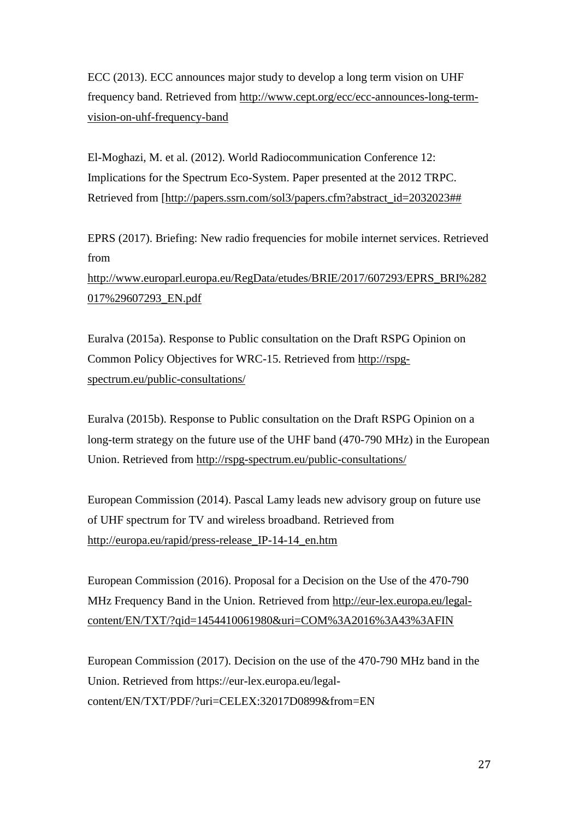ECC (2013). ECC announces major study to develop a long term vision on UHF frequency band. Retrieved from [http://www.cept.org/ecc/ecc-announces-long-term](http://www.cept.org/ecc/ecc-announces-long-term-vision-on-uhf-frequency-band)[vision-on-uhf-frequency-band](http://www.cept.org/ecc/ecc-announces-long-term-vision-on-uhf-frequency-band)

El-Moghazi, M. et al. (2012). World Radiocommunication Conference 12: Implications for the Spectrum Eco-System. Paper presented at the 2012 TRPC. Retrieved from [\[http://papers.ssrn.com/sol3/papers.cfm?abstract\\_id=2032023##](http://papers.ssrn.com/sol3/papers.cfm?abstract_id=2032023)

EPRS (2017). Briefing: New radio frequencies for mobile internet services. Retrieved from

[http://www.europarl.europa.eu/RegData/etudes/BRIE/2017/607293/EPRS\\_BRI%282](http://www.europarl.europa.eu/RegData/etudes/BRIE/2017/607293/EPRS_BRI%282017%29607293_EN.pdf) [017%29607293\\_EN.pdf](http://www.europarl.europa.eu/RegData/etudes/BRIE/2017/607293/EPRS_BRI%282017%29607293_EN.pdf)

Euralva (2015a). Response to Public consultation on the Draft RSPG Opinion on Common Policy Objectives for WRC-15. Retrieved from [http://rspg](http://rspg-spectrum.eu/public-consultations/)[spectrum.eu/public-consultations/](http://rspg-spectrum.eu/public-consultations/)

Euralva (2015b). Response to Public consultation on the Draft RSPG Opinion on a long-term strategy on the future use of the UHF band (470-790 MHz) in the European Union. Retrieved from<http://rspg-spectrum.eu/public-consultations/>

European Commission (2014). Pascal Lamy leads new advisory group on future use of UHF spectrum for TV and wireless broadband. Retrieved from [http://europa.eu/rapid/press-release\\_IP-14-14\\_en.htm](http://europa.eu/rapid/press-release_IP-14-14_en.htm)

European Commission (2016). Proposal for a Decision on the Use of the 470-790 MHz Frequency Band in the Union. Retrieved from [http://eur-lex.europa.eu/legal](http://eur-lex.europa.eu/legal-content/EN/TXT/?qid=1454410061980&uri=COM%3A2016%3A43%3AFIN)[content/EN/TXT/?qid=1454410061980&uri=COM%3A2016%3A43%3AFIN](http://eur-lex.europa.eu/legal-content/EN/TXT/?qid=1454410061980&uri=COM%3A2016%3A43%3AFIN)

European Commission (2017). Decision on the use of the 470-790 MHz band in the Union. Retrieved from https://eur-lex.europa.eu/legalcontent/EN/TXT/PDF/?uri=CELEX:32017D0899&from=EN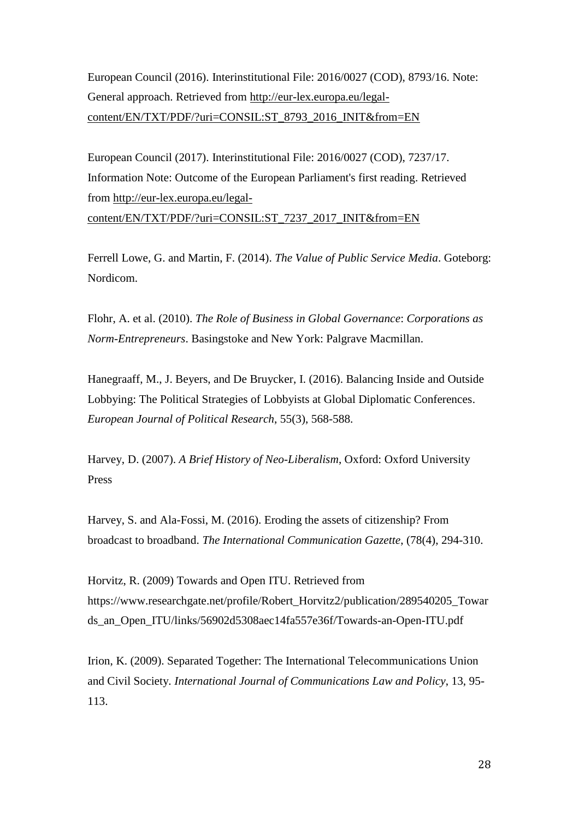European Council (2016). Interinstitutional File: 2016/0027 (COD), 8793/16. Note: General approach. Retrieved from [http://eur-lex.europa.eu/legal](http://eur-lex.europa.eu/legal-content/EN/TXT/PDF/?uri=CONSIL:ST_8793_2016_INIT&from=EN)[content/EN/TXT/PDF/?uri=CONSIL:ST\\_8793\\_2016\\_INIT&from=EN](http://eur-lex.europa.eu/legal-content/EN/TXT/PDF/?uri=CONSIL:ST_8793_2016_INIT&from=EN)

European Council (2017). Interinstitutional File: 2016/0027 (COD), 7237/17. Information Note: Outcome of the European Parliament's first reading. Retrieved from [http://eur-lex.europa.eu/legal](http://eur-lex.europa.eu/legal-content/EN/TXT/PDF/?uri=CONSIL:ST_7237_2017_INIT&from=EN)[content/EN/TXT/PDF/?uri=CONSIL:ST\\_7237\\_2017\\_INIT&from=EN](http://eur-lex.europa.eu/legal-content/EN/TXT/PDF/?uri=CONSIL:ST_7237_2017_INIT&from=EN)

Ferrell Lowe, G. and Martin, F. (2014). *The Value of Public Service Media*. Goteborg: Nordicom.

Flohr, A. et al. (2010). *The Role of Business in Global Governance*: *Corporations as Norm-Entrepreneurs*. Basingstoke and New York: Palgrave Macmillan.

Hanegraaff, M., J. Beyers, and De Bruycker, I. (2016). Balancing Inside and Outside Lobbying: The Political Strategies of Lobbyists at Global Diplomatic Conferences. *European Journal of Political Research*, 55(3), 568-588.

Harvey, D. (2007). *A Brief History of Neo-Liberalism*, Oxford: Oxford University Press

Harvey, S. and Ala-Fossi, M. (2016). Eroding the assets of citizenship? From broadcast to broadband. *The International Communication Gazette*, (78(4), 294-310.

Horvitz, R. (2009) Towards and Open ITU. Retrieved from https://www.researchgate.net/profile/Robert\_Horvitz2/publication/289540205\_Towar ds\_an\_Open\_ITU/links/56902d5308aec14fa557e36f/Towards-an-Open-ITU.pdf

Irion, K. (2009). Separated Together: The International Telecommunications Union and Civil Society. *International Journal of Communications Law and Policy*, 13, 95- 113.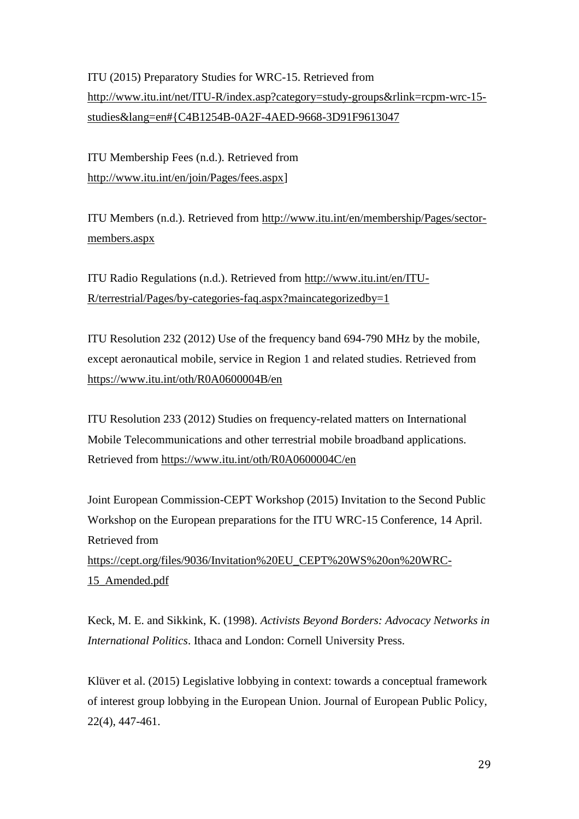ITU (2015) Preparatory Studies for WRC-15. Retrieved from [http://www.itu.int/net/ITU-R/index.asp?category=study-groups&rlink=rcpm-wrc-15](http://www.itu.int/net/ITU-R/index.asp?category=study-groups&rlink=rcpm-wrc-15-studies&lang=en#{C4B1254B-0A2F-4AED-9668-3D91F9613047) [studies&lang=en#{C4B1254B-0A2F-4AED-9668-3D91F9613047](http://www.itu.int/net/ITU-R/index.asp?category=study-groups&rlink=rcpm-wrc-15-studies&lang=en#{C4B1254B-0A2F-4AED-9668-3D91F9613047)

ITU Membership Fees (n.d.). Retrieved from [http://www.itu.int/en/join/Pages/fees.aspx\]](http://www.itu.int/en/join/Pages/fees.aspx)

ITU Members (n.d.). Retrieved from [http://www.itu.int/en/membership/Pages/sector](http://www.itu.int/en/membership/Pages/sector-members.aspx)[members.aspx](http://www.itu.int/en/membership/Pages/sector-members.aspx)

ITU Radio Regulations (n.d.). Retrieved from [http://www.itu.int/en/ITU-](http://www.itu.int/en/ITU-R/terrestrial/Pages/by-categories-faq.aspx?maincategorizedby=1)[R/terrestrial/Pages/by-categories-faq.aspx?maincategorizedby=1](http://www.itu.int/en/ITU-R/terrestrial/Pages/by-categories-faq.aspx?maincategorizedby=1)

ITU Resolution 232 (2012) Use of the frequency band 694-790 MHz by the mobile, except aeronautical mobile, service in Region 1 and related studies. Retrieved from <https://www.itu.int/oth/R0A0600004B/en>

ITU Resolution 233 (2012) Studies on frequency-related matters on International Mobile Telecommunications and other terrestrial mobile broadband applications. Retrieved from<https://www.itu.int/oth/R0A0600004C/en>

Joint European Commission-CEPT Workshop (2015) Invitation to the Second Public Workshop on the European preparations for the ITU WRC-15 Conference, 14 April. Retrieved from

[https://cept.org/files/9036/Invitation%20EU\\_CEPT%20WS%20on%20WRC-](https://cept.org/files/9036/Invitation%20EU_CEPT%20WS%20on%20WRC-15_Amended.pdf)[15\\_Amended.pdf](https://cept.org/files/9036/Invitation%20EU_CEPT%20WS%20on%20WRC-15_Amended.pdf)

Keck, M. E. and Sikkink, K. (1998). *Activists Beyond Borders: Advocacy Networks in International Politics*. Ithaca and London: Cornell University Press.

Klüver et al. (2015) Legislative lobbying in context: towards a conceptual framework of interest group lobbying in the European Union. Journal of European Public Policy, 22(4), 447-461.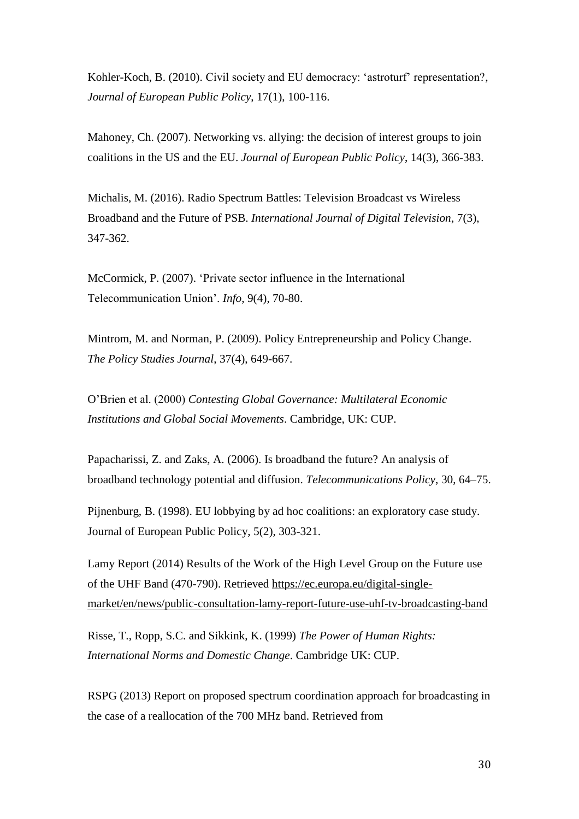Kohler-Koch, B. (2010). Civil society and EU democracy: 'astroturf' representation?, *Journal of European Public Policy*, 17(1), 100-116.

Mahoney, Ch. (2007). Networking vs. allying: the decision of interest groups to join coalitions in the US and the EU. *Journal of European Public Policy*, 14(3), 366-383.

Michalis, M. (2016). Radio Spectrum Battles: Television Broadcast vs Wireless Broadband and the Future of PSB. *International Journal of Digital Television*, 7(3), 347-362.

McCormick, P. (2007). 'Private sector influence in the International Telecommunication Union'. *Info*, 9(4), 70-80.

Mintrom, M. and Norman, P. (2009). Policy Entrepreneurship and Policy Change. *The Policy Studies Journal*, 37(4), 649-667.

O'Brien et al. (2000) *Contesting Global Governance: Multilateral Economic Institutions and Global Social Movements*. Cambridge, UK: CUP.

Papacharissi, Z. and Zaks, A. (2006). Is broadband the future? An analysis of broadband technology potential and diffusion. *Telecommunications Policy*, 30, 64–75.

Pijnenburg, B. (1998). EU lobbying by ad hoc coalitions: an exploratory case study. Journal of European Public Policy, 5(2), 303-321.

Lamy Report (2014) Results of the Work of the High Level Group on the Future use of the UHF Band (470-790). Retrieved [https://ec.europa.eu/digital-single](https://ec.europa.eu/digital-single-market/en/news/public-consultation-lamy-report-future-use-uhf-tv-broadcasting-band)[market/en/news/public-consultation-lamy-report-future-use-uhf-tv-broadcasting-band](https://ec.europa.eu/digital-single-market/en/news/public-consultation-lamy-report-future-use-uhf-tv-broadcasting-band)

Risse, T., Ropp, S.C. and Sikkink, K. (1999) *The Power of Human Rights: International Norms and Domestic Change*. Cambridge UK: CUP.

RSPG (2013) Report on proposed spectrum coordination approach for broadcasting in the case of a reallocation of the 700 MHz band. Retrieved from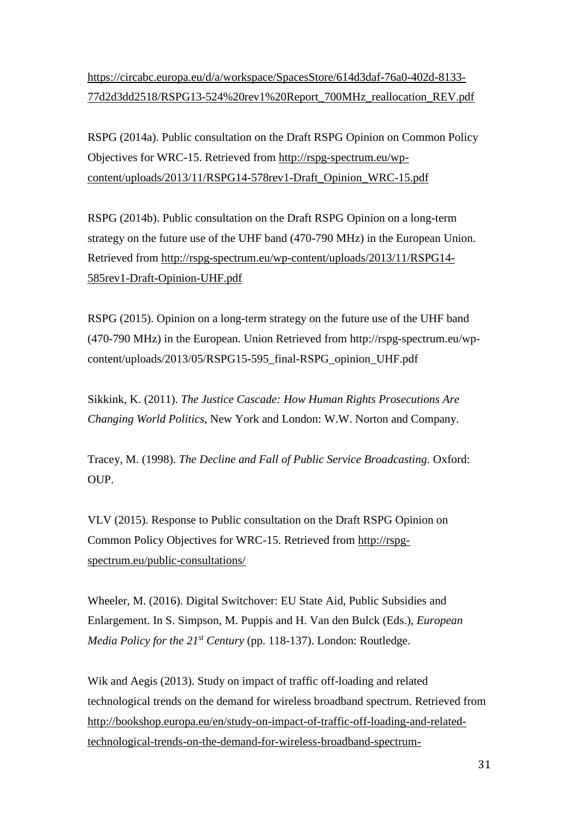## [https://circabc.europa.eu/d/a/workspace/SpacesStore/614d3daf-76a0-402d-8133-](https://circabc.europa.eu/d/a/workspace/SpacesStore/614d3daf-76a0-402d-8133-77d2d3dd2518/RSPG13-524%20rev1%20Report_700MHz_reallocation_REV.pdf) [77d2d3dd2518/RSPG13-524%20rev1%20Report\\_700MHz\\_reallocation\\_REV.pdf](https://circabc.europa.eu/d/a/workspace/SpacesStore/614d3daf-76a0-402d-8133-77d2d3dd2518/RSPG13-524%20rev1%20Report_700MHz_reallocation_REV.pdf)

RSPG (2014a). Public consultation on the Draft RSPG Opinion on Common Policy Objectives for WRC-15. Retrieved from [http://rspg-spectrum.eu/wp](http://rspg-spectrum.eu/wp-content/uploads/2013/11/RSPG14-578rev1-Draft_Opinion_WRC-15.pdf)[content/uploads/2013/11/RSPG14-578rev1-Draft\\_Opinion\\_WRC-15.pdf](http://rspg-spectrum.eu/wp-content/uploads/2013/11/RSPG14-578rev1-Draft_Opinion_WRC-15.pdf)

RSPG (2014b). Public consultation on the Draft RSPG Opinion on a long-term strategy on the future use of the UHF band (470-790 MHz) in the European Union. Retrieved from [http://rspg-spectrum.eu/wp-content/uploads/2013/11/RSPG14-](http://rspg-spectrum.eu/wp-content/uploads/2013/11/RSPG14-585rev1-Draft-Opinion-UHF.pdf) [585rev1-Draft-Opinion-UHF.pdf](http://rspg-spectrum.eu/wp-content/uploads/2013/11/RSPG14-585rev1-Draft-Opinion-UHF.pdf)

RSPG (2015). Opinion on a long-term strategy on the future use of the UHF band (470-790 MHz) in the European. Union Retrieved from http://rspg-spectrum.eu/wpcontent/uploads/2013/05/RSPG15-595\_final-RSPG\_opinion\_UHF.pdf

Sikkink, K. (2011). *The Justice Cascade: How Human Rights Prosecutions Are Changing World Politics*, New York and London: W.W. Norton and Company.

Tracey, M. (1998). *The Decline and Fall of Public Service Broadcasting*. Oxford: OUP.

VLV (2015). Response to Public consultation on the Draft RSPG Opinion on Common Policy Objectives for WRC-15. Retrieved from [http://rspg](http://rspg-spectrum.eu/public-consultations/)[spectrum.eu/public-consultations/](http://rspg-spectrum.eu/public-consultations/)

Wheeler, M. (2016). Digital Switchover: EU State Aid, Public Subsidies and Enlargement. In S. Simpson, M. Puppis and H. Van den Bulck (Eds.), *European Media Policy for the 21st Century* (pp. 118-137). London: Routledge.

Wik and Aegis (2013). Study on impact of traffic off-loading and related technological trends on the demand for wireless broadband spectrum. Retrieved from [http://bookshop.europa.eu/en/study-on-impact-of-traffic-off-loading-and-related](http://bookshop.europa.eu/en/study-on-impact-of-traffic-off-loading-and-related-technological-trends-on-the-demand-for-wireless-broadband-spectrum-pbKK0113239/?CatalogCategoryID=CXoKABst5TsAAAEjepEY4e5L)[technological-trends-on-the-demand-for-wireless-broadband-spectrum-](http://bookshop.europa.eu/en/study-on-impact-of-traffic-off-loading-and-related-technological-trends-on-the-demand-for-wireless-broadband-spectrum-pbKK0113239/?CatalogCategoryID=CXoKABst5TsAAAEjepEY4e5L)